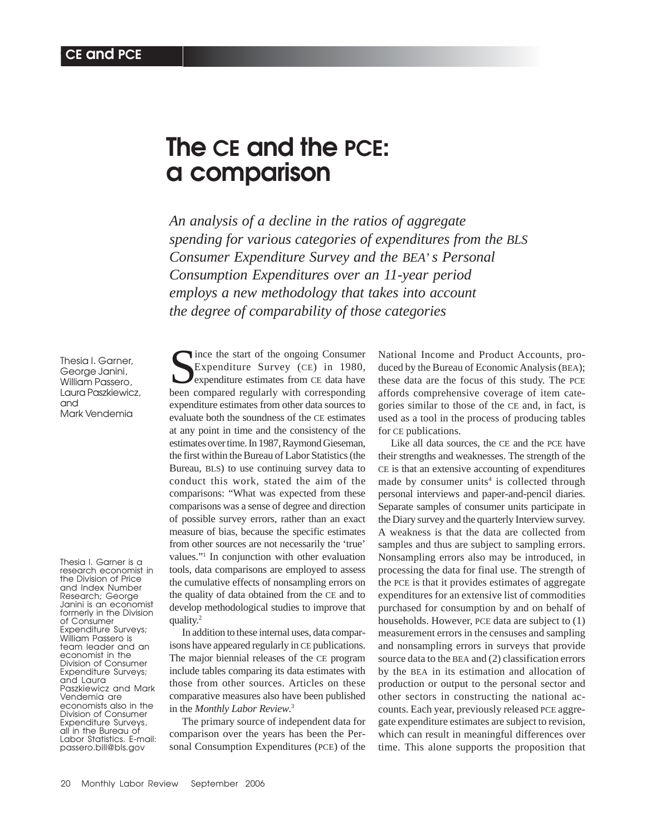# **The CE and the PCE: a comparison**

*An analysis of a decline in the ratios of aggregate spending for various categories of expenditures from the BLS Consumer Expenditure Survey and the BEA' s Personal Consumption Expenditures over an 11-year period employs a new methodology that takes into account the degree of comparability of those categories*

Thesia I. Garner, George Janini, William Passero, Laura Paszkiewicz, and Mark Vendemia

Thesia I. Garner is a research economist in the Division of Price and Index Number Research; George Janini is an economist formerly in the Division of Consumer Expenditure Surveys; William Passero is team leader and an economist in the Division of Consumer Expenditure Surveys; and Laura Paszkiewicz and Mark Vendemia are economists also in the Division of Consumer Expenditure Surveys, all in the Bureau of Labor Statistics. E-mail: passero.bill@bls.gov

Since the start of the ongoing Consumer<br>Expenditure Survey (CE) in 1980,<br>hexpenditure estimates from CE data have Expenditure Survey (CE) in 1980, been compared regularly with corresponding expenditure estimates from other data sources to evaluate both the soundness of the CE estimates at any point in time and the consistency of the estimates over time. In 1987, Raymond Gieseman, the first within the Bureau of Labor Statistics (the Bureau, BLS) to use continuing survey data to conduct this work, stated the aim of the comparisons: "What was expected from these comparisons was a sense of degree and direction of possible survey errors, rather than an exact measure of bias, because the specific estimates from other sources are not necessarily the 'true' values."1 In conjunction with other evaluation tools, data comparisons are employed to assess the cumulative effects of nonsampling errors on the quality of data obtained from the CE and to develop methodological studies to improve that quality.<sup>2</sup>

In addition to these internal uses, data comparisons have appeared regularly in CE publications. The major biennial releases of the CE program include tables comparing its data estimates with those from other sources. Articles on these comparative measures also have been published in the *Monthly Labor Review*. 3

The primary source of independent data for comparison over the years has been the Personal Consumption Expenditures (PCE) of the National Income and Product Accounts, produced by the Bureau of Economic Analysis (BEA); these data are the focus of this study. The PCE affords comprehensive coverage of item categories similar to those of the CE and, in fact, is used as a tool in the process of producing tables for CE publications.

Like all data sources, the CE and the PCE have their strengths and weaknesses. The strength of the CE is that an extensive accounting of expenditures made by consumer units<sup>4</sup> is collected through personal interviews and paper-and-pencil diaries. Separate samples of consumer units participate in the Diary survey and the quarterly Interview survey. A weakness is that the data are collected from samples and thus are subject to sampling errors. Nonsampling errors also may be introduced, in processing the data for final use. The strength of the PCE is that it provides estimates of aggregate expenditures for an extensive list of commodities purchased for consumption by and on behalf of households. However, PCE data are subject to (1) measurement errors in the censuses and sampling and nonsampling errors in surveys that provide source data to the BEA and (2) classification errors by the BEA in its estimation and allocation of production or output to the personal sector and other sectors in constructing the national accounts. Each year, previously released PCE aggregate expenditure estimates are subject to revision, which can result in meaningful differences over time. This alone supports the proposition that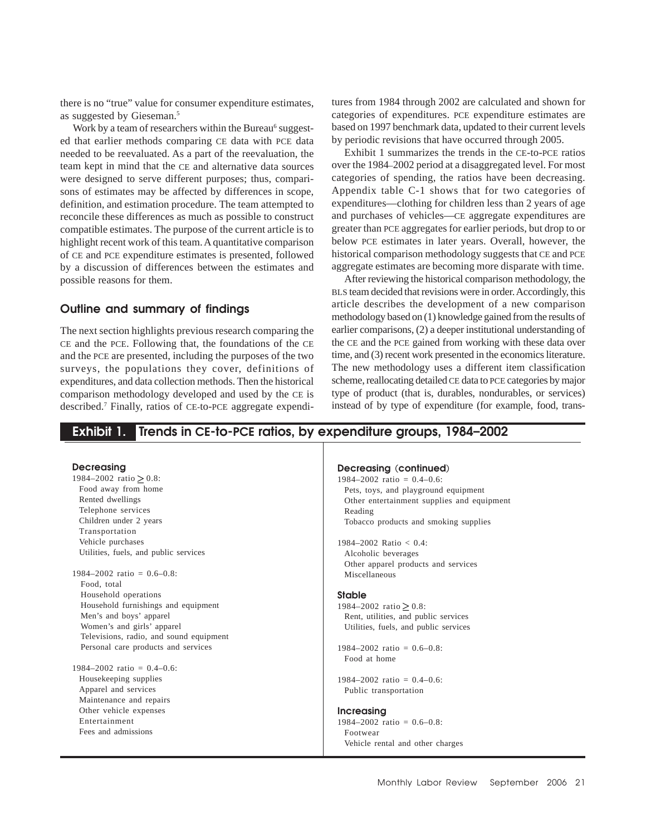there is no "true" value for consumer expenditure estimates, as suggested by Gieseman.5

Work by a team of researchers within the Bureau<sup>6</sup> suggested that earlier methods comparing CE data with PCE data needed to be reevaluated. As a part of the reevaluation, the team kept in mind that the CE and alternative data sources were designed to serve different purposes; thus, comparisons of estimates may be affected by differences in scope, definition, and estimation procedure. The team attempted to reconcile these differences as much as possible to construct compatible estimates. The purpose of the current article is to highlight recent work of this team. A quantitative comparison of CE and PCE expenditure estimates is presented, followed by a discussion of differences between the estimates and possible reasons for them.

## **Outline and summary of findings**

The next section highlights previous research comparing the CE and the PCE. Following that, the foundations of the CE and the PCE are presented, including the purposes of the two surveys, the populations they cover, definitions of expenditures, and data collection methods. Then the historical comparison methodology developed and used by the CE is described.7 Finally, ratios of CE-to-PCE aggregate expenditures from 1984 through 2002 are calculated and shown for categories of expenditures. PCE expenditure estimates are based on 1997 benchmark data, updated to their current levels by periodic revisions that have occurred through 2005.

Exhibit 1 summarizes the trends in the CE-to-PCE ratios over the 1984–2002 period at a disaggregated level. For most categories of spending, the ratios have been decreasing. Appendix table C-1 shows that for two categories of expenditures—clothing for children less than 2 years of age and purchases of vehicles—CE aggregate expenditures are greater than PCE aggregates for earlier periods, but drop to or below PCE estimates in later years. Overall, however, the historical comparison methodology suggests that CE and PCE aggregate estimates are becoming more disparate with time.

After reviewing the historical comparison methodology, the BLS team decided that revisions were in order. Accordingly, this article describes the development of a new comparison methodology based on (1) knowledge gained from the results of earlier comparisons, (2) a deeper institutional understanding of the CE and the PCE gained from working with these data over time, and (3) recent work presented in the economics literature. The new methodology uses a different item classification scheme, reallocating detailed CE data to PCE categories by major type of product (that is, durables, nondurables, or services) instead of by type of expenditure (for example, food, trans-

## **Exhibit 1. Trends in CE-to-PCE ratios, by expenditure groups, 1984–2002**

| <b>Decreasing</b>                       | Decreasing (continued)                     |
|-----------------------------------------|--------------------------------------------|
| 1984–2002 ratio $> 0.8$ :               | $1984 - 2002$ ratio = 0.4-0.6:             |
| Food away from home                     | Pets, toys, and playground equipment       |
| Rented dwellings                        | Other entertainment supplies and equipment |
| Telephone services                      | Reading                                    |
| Children under 2 years                  | Tobacco products and smoking supplies      |
| Transportation                          |                                            |
| Vehicle purchases                       | 1984–2002 Ratio $< 0.4$ :                  |
| Utilities, fuels, and public services   | Alcoholic beverages                        |
|                                         | Other apparel products and services        |
| $1984 - 2002$ ratio = 0.6-0.8:          | Miscellaneous                              |
| Food, total                             |                                            |
| Household operations                    | <b>Stable</b>                              |
| Household furnishings and equipment     | 1984–2002 ratio $> 0.8$ :                  |
| Men's and boys' apparel                 | Rent, utilities, and public services       |
| Women's and girls' apparel              | Utilities, fuels, and public services      |
| Televisions, radio, and sound equipment |                                            |
| Personal care products and services     | $1984 - 2002$ ratio = 0.6-0.8:             |
|                                         | Food at home                               |
| $1984 - 2002$ ratio = 0.4-0.6:          |                                            |
| Housekeeping supplies                   | $1984 - 2002$ ratio = 0.4-0.6:             |
| Apparel and services                    | Public transportation                      |
| Maintenance and repairs                 |                                            |
| Other vehicle expenses                  | <b>Increasing</b>                          |
| Entertainment                           | $1984 - 2002$ ratio = 0.6-0.8:             |
| Fees and admissions                     | Footwear                                   |
|                                         | Vehicle rental and other charges           |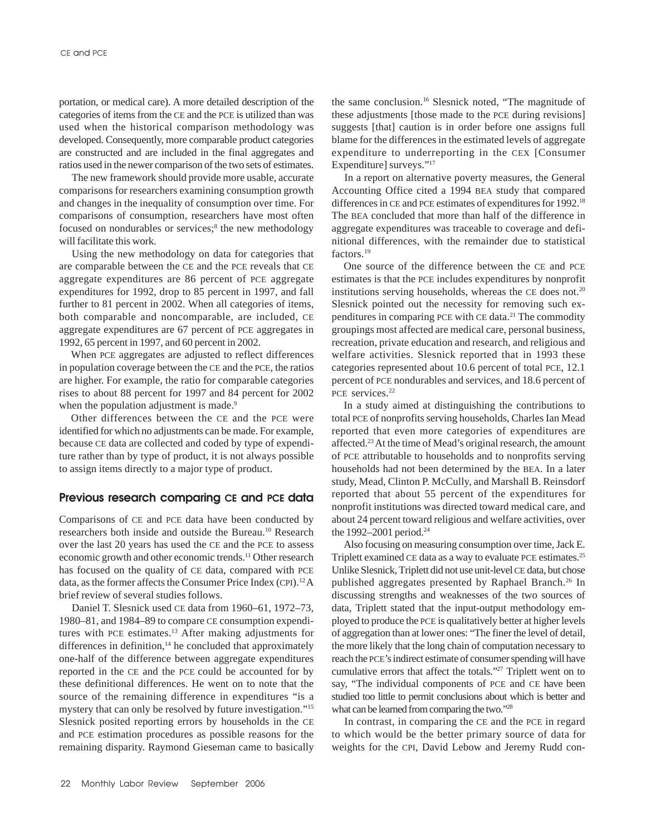portation, or medical care). A more detailed description of the categories of items from the CE and the PCE is utilized than was used when the historical comparison methodology was developed. Consequently, more comparable product categories are constructed and are included in the final aggregates and ratios used in the newer comparison of the two sets of estimates.

The new framework should provide more usable, accurate comparisons for researchers examining consumption growth and changes in the inequality of consumption over time. For comparisons of consumption, researchers have most often focused on nondurables or services;<sup>8</sup> the new methodology will facilitate this work.

Using the new methodology on data for categories that are comparable between the CE and the PCE reveals that CE aggregate expenditures are 86 percent of PCE aggregate expenditures for 1992, drop to 85 percent in 1997, and fall further to 81 percent in 2002. When all categories of items, both comparable and noncomparable, are included, CE aggregate expenditures are 67 percent of PCE aggregates in 1992, 65 percent in 1997, and 60 percent in 2002.

When PCE aggregates are adjusted to reflect differences in population coverage between the CE and the PCE, the ratios are higher. For example, the ratio for comparable categories rises to about 88 percent for 1997 and 84 percent for 2002 when the population adjustment is made.<sup>9</sup>

Other differences between the CE and the PCE were identified for which no adjustments can be made. For example, because CE data are collected and coded by type of expenditure rather than by type of product, it is not always possible to assign items directly to a major type of product.

## **Previous research comparing CE and PCE data**

Comparisons of CE and PCE data have been conducted by researchers both inside and outside the Bureau.10 Research over the last 20 years has used the CE and the PCE to assess economic growth and other economic trends.11 Other research has focused on the quality of CE data, compared with PCE data, as the former affects the Consumer Price Index (CPI).<sup>12</sup> A brief review of several studies follows.

Daniel T. Slesnick used CE data from 1960–61, 1972–73, 1980–81, and 1984–89 to compare CE consumption expenditures with PCE estimates.<sup>13</sup> After making adjustments for differences in definition,<sup>14</sup> he concluded that approximately one-half of the difference between aggregate expenditures reported in the CE and the PCE could be accounted for by these definitional differences. He went on to note that the source of the remaining difference in expenditures "is a mystery that can only be resolved by future investigation."15 Slesnick posited reporting errors by households in the CE and PCE estimation procedures as possible reasons for the remaining disparity. Raymond Gieseman came to basically

the same conclusion.<sup>16</sup> Slesnick noted, "The magnitude of these adjustments [those made to the PCE during revisions] suggests [that] caution is in order before one assigns full blame for the differences in the estimated levels of aggregate expenditure to underreporting in the CEX [Consumer Expenditure] surveys."17

In a report on alternative poverty measures, the General Accounting Office cited a 1994 BEA study that compared differences in CE and PCE estimates of expenditures for 1992.<sup>18</sup> The BEA concluded that more than half of the difference in aggregate expenditures was traceable to coverage and definitional differences, with the remainder due to statistical factors.19

One source of the difference between the CE and PCE estimates is that the PCE includes expenditures by nonprofit institutions serving households, whereas the CE does not.<sup>20</sup> Slesnick pointed out the necessity for removing such expenditures in comparing PCE with CE data.<sup>21</sup> The commodity groupings most affected are medical care, personal business, recreation, private education and research, and religious and welfare activities. Slesnick reported that in 1993 these categories represented about 10.6 percent of total PCE, 12.1 percent of PCE nondurables and services, and 18.6 percent of PCE services.<sup>22</sup>

In a study aimed at distinguishing the contributions to total PCE of nonprofits serving households, Charles Ian Mead reported that even more categories of expenditures are affected.23 At the time of Mead's original research, the amount of PCE attributable to households and to nonprofits serving households had not been determined by the BEA. In a later study, Mead, Clinton P. McCully, and Marshall B. Reinsdorf reported that about 55 percent of the expenditures for nonprofit institutions was directed toward medical care, and about 24 percent toward religious and welfare activities, over the 1992–2001 period.<sup>24</sup>

Also focusing on measuring consumption over time, Jack E. Triplett examined CE data as a way to evaluate PCE estimates.<sup>25</sup> Unlike Slesnick, Triplett did not use unit-level CE data, but chose published aggregates presented by Raphael Branch.<sup>26</sup> In discussing strengths and weaknesses of the two sources of data, Triplett stated that the input-output methodology employed to produce the PCE is qualitatively better at higher levels of aggregation than at lower ones: "The finer the level of detail, the more likely that the long chain of computation necessary to reach the PCE's indirect estimate of consumer spending will have cumulative errors that affect the totals."27 Triplett went on to say, "The individual components of PCE and CE have been studied too little to permit conclusions about which is better and what can be learned from comparing the two."28

In contrast, in comparing the CE and the PCE in regard to which would be the better primary source of data for weights for the CPI, David Lebow and Jeremy Rudd con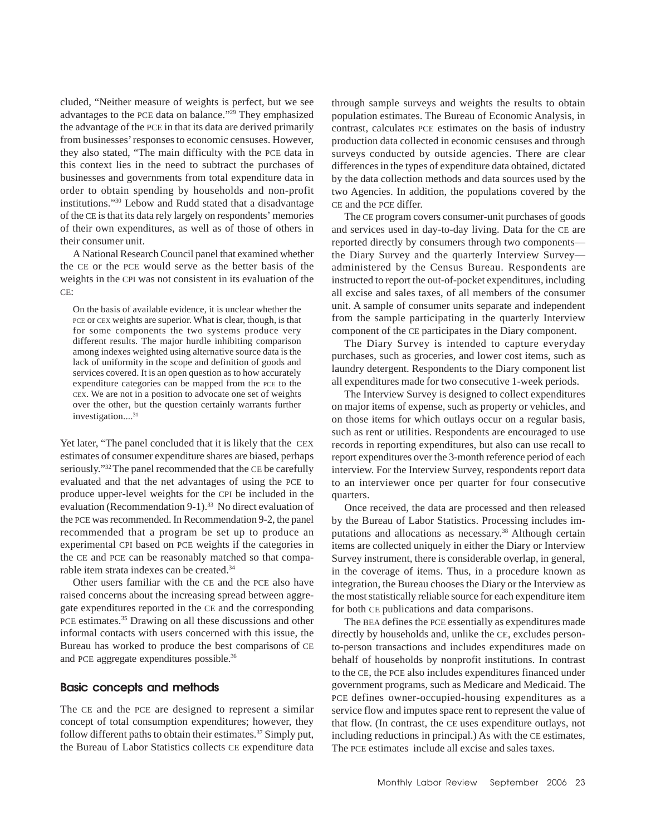cluded, "Neither measure of weights is perfect, but we see advantages to the PCE data on balance."29 They emphasized the advantage of the PCE in that its data are derived primarily from businesses' responses to economic censuses. However, they also stated, "The main difficulty with the PCE data in this context lies in the need to subtract the purchases of businesses and governments from total expenditure data in order to obtain spending by households and non-profit institutions."30 Lebow and Rudd stated that a disadvantage of the CE is that its data rely largely on respondents' memories of their own expenditures, as well as of those of others in their consumer unit.

A National Research Council panel that examined whether the CE or the PCE would serve as the better basis of the weights in the CPI was not consistent in its evaluation of the CE:

On the basis of available evidence, it is unclear whether the PCE or CEX weights are superior. What is clear, though, is that for some components the two systems produce very different results. The major hurdle inhibiting comparison among indexes weighted using alternative source data is the lack of uniformity in the scope and definition of goods and services covered. It is an open question as to how accurately expenditure categories can be mapped from the PCE to the CEX. We are not in a position to advocate one set of weights over the other, but the question certainly warrants further investigation....<sup>31</sup>

Yet later, "The panel concluded that it is likely that the CEX estimates of consumer expenditure shares are biased, perhaps seriously."32 The panel recommended that the CE be carefully evaluated and that the net advantages of using the PCE to produce upper-level weights for the CPI be included in the evaluation (Recommendation 9-1).<sup>33</sup> No direct evaluation of the PCE was recommended. In Recommendation 9-2, the panel recommended that a program be set up to produce an experimental CPI based on PCE weights if the categories in the CE and PCE can be reasonably matched so that comparable item strata indexes can be created.<sup>34</sup>

Other users familiar with the CE and the PCE also have raised concerns about the increasing spread between aggregate expenditures reported in the CE and the corresponding PCE estimates.<sup>35</sup> Drawing on all these discussions and other informal contacts with users concerned with this issue, the Bureau has worked to produce the best comparisons of CE and PCE aggregate expenditures possible.<sup>36</sup>

## **Basic concepts and methods**

The CE and the PCE are designed to represent a similar concept of total consumption expenditures; however, they follow different paths to obtain their estimates.<sup>37</sup> Simply put, the Bureau of Labor Statistics collects CE expenditure data through sample surveys and weights the results to obtain population estimates. The Bureau of Economic Analysis, in contrast, calculates PCE estimates on the basis of industry production data collected in economic censuses and through surveys conducted by outside agencies. There are clear differences in the types of expenditure data obtained, dictated by the data collection methods and data sources used by the two Agencies. In addition, the populations covered by the CE and the PCE differ.

The CE program covers consumer-unit purchases of goods and services used in day-to-day living. Data for the CE are reported directly by consumers through two components the Diary Survey and the quarterly Interview Survey administered by the Census Bureau. Respondents are instructed to report the out-of-pocket expenditures, including all excise and sales taxes, of all members of the consumer unit. A sample of consumer units separate and independent from the sample participating in the quarterly Interview component of the CE participates in the Diary component.

The Diary Survey is intended to capture everyday purchases, such as groceries, and lower cost items, such as laundry detergent. Respondents to the Diary component list all expenditures made for two consecutive 1-week periods.

The Interview Survey is designed to collect expenditures on major items of expense, such as property or vehicles, and on those items for which outlays occur on a regular basis, such as rent or utilities. Respondents are encouraged to use records in reporting expenditures, but also can use recall to report expenditures over the 3-month reference period of each interview. For the Interview Survey, respondents report data to an interviewer once per quarter for four consecutive quarters.

Once received, the data are processed and then released by the Bureau of Labor Statistics. Processing includes imputations and allocations as necessary.<sup>38</sup> Although certain items are collected uniquely in either the Diary or Interview Survey instrument, there is considerable overlap, in general, in the coverage of items. Thus, in a procedure known as integration, the Bureau chooses the Diary or the Interview as the most statistically reliable source for each expenditure item for both CE publications and data comparisons.

The BEA defines the PCE essentially as expenditures made directly by households and, unlike the CE, excludes personto-person transactions and includes expenditures made on behalf of households by nonprofit institutions. In contrast to the CE, the PCE also includes expenditures financed under government programs, such as Medicare and Medicaid. The PCE defines owner-occupied-housing expenditures as a service flow and imputes space rent to represent the value of that flow. (In contrast, the CE uses expenditure outlays, not including reductions in principal.) As with the CE estimates, The PCE estimates include all excise and sales taxes.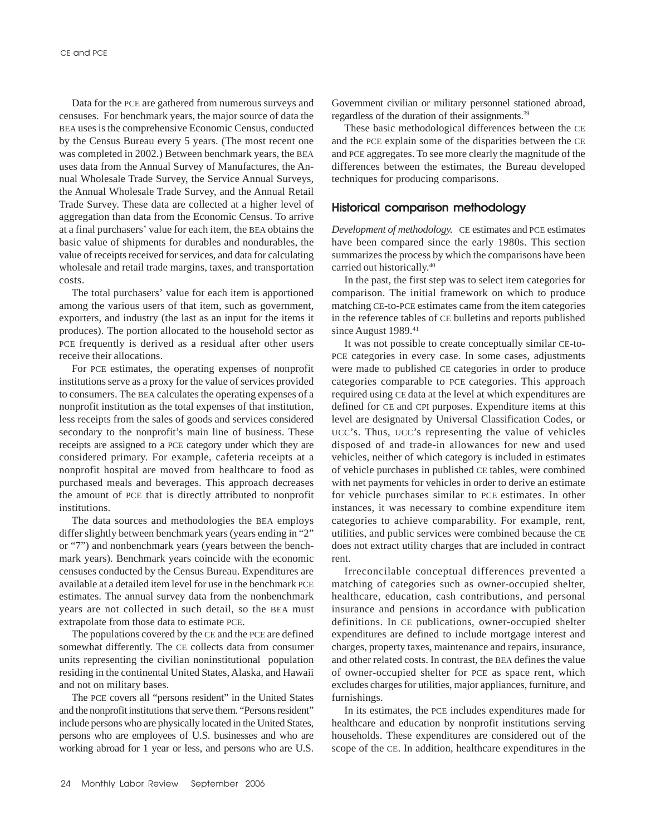Data for the PCE are gathered from numerous surveys and censuses. For benchmark years, the major source of data the BEA uses is the comprehensive Economic Census, conducted by the Census Bureau every 5 years. (The most recent one was completed in 2002.) Between benchmark years, the BEA uses data from the Annual Survey of Manufactures, the Annual Wholesale Trade Survey, the Service Annual Surveys, the Annual Wholesale Trade Survey, and the Annual Retail Trade Survey. These data are collected at a higher level of aggregation than data from the Economic Census. To arrive at a final purchasers' value for each item, the BEA obtains the basic value of shipments for durables and nondurables, the value of receipts received for services, and data for calculating wholesale and retail trade margins, taxes, and transportation costs.

The total purchasers' value for each item is apportioned among the various users of that item, such as government, exporters, and industry (the last as an input for the items it produces). The portion allocated to the household sector as PCE frequently is derived as a residual after other users receive their allocations.

For PCE estimates, the operating expenses of nonprofit institutions serve as a proxy for the value of services provided to consumers. The BEA calculates the operating expenses of a nonprofit institution as the total expenses of that institution, less receipts from the sales of goods and services considered secondary to the nonprofit's main line of business. These receipts are assigned to a PCE category under which they are considered primary. For example, cafeteria receipts at a nonprofit hospital are moved from healthcare to food as purchased meals and beverages. This approach decreases the amount of PCE that is directly attributed to nonprofit institutions.

The data sources and methodologies the BEA employs differ slightly between benchmark years (years ending in "2" or "7") and nonbenchmark years (years between the benchmark years). Benchmark years coincide with the economic censuses conducted by the Census Bureau. Expenditures are available at a detailed item level for use in the benchmark PCE estimates. The annual survey data from the nonbenchmark years are not collected in such detail, so the BEA must extrapolate from those data to estimate PCE.

The populations covered by the CE and the PCE are defined somewhat differently. The CE collects data from consumer units representing the civilian noninstitutional population residing in the continental United States, Alaska, and Hawaii and not on military bases.

The PCE covers all "persons resident" in the United States and the nonprofit institutions that serve them. "Persons resident" include persons who are physically located in the United States, persons who are employees of U.S. businesses and who are working abroad for 1 year or less, and persons who are U.S.

Government civilian or military personnel stationed abroad, regardless of the duration of their assignments.<sup>39</sup>

These basic methodological differences between the CE and the PCE explain some of the disparities between the CE and PCE aggregates. To see more clearly the magnitude of the differences between the estimates, the Bureau developed techniques for producing comparisons.

## **Historical comparison methodology**

*Development of methodology.* CE estimates and PCE estimates have been compared since the early 1980s. This section summarizes the process by which the comparisons have been carried out historically.40

In the past, the first step was to select item categories for comparison. The initial framework on which to produce matching CE-to-PCE estimates came from the item categories in the reference tables of CE bulletins and reports published since August 1989.<sup>41</sup>

It was not possible to create conceptually similar CE-to-PCE categories in every case. In some cases, adjustments were made to published CE categories in order to produce categories comparable to PCE categories. This approach required using CE data at the level at which expenditures are defined for CE and CPI purposes. Expenditure items at this level are designated by Universal Classification Codes, or UCC's. Thus, UCC's representing the value of vehicles disposed of and trade-in allowances for new and used vehicles, neither of which category is included in estimates of vehicle purchases in published CE tables, were combined with net payments for vehicles in order to derive an estimate for vehicle purchases similar to PCE estimates. In other instances, it was necessary to combine expenditure item categories to achieve comparability. For example, rent, utilities, and public services were combined because the CE does not extract utility charges that are included in contract rent.

Irreconcilable conceptual differences prevented a matching of categories such as owner-occupied shelter, healthcare, education, cash contributions, and personal insurance and pensions in accordance with publication definitions. In CE publications, owner-occupied shelter expenditures are defined to include mortgage interest and charges, property taxes, maintenance and repairs, insurance, and other related costs. In contrast, the BEA defines the value of owner-occupied shelter for PCE as space rent, which excludes charges for utilities, major appliances, furniture, and furnishings.

In its estimates, the PCE includes expenditures made for healthcare and education by nonprofit institutions serving households. These expenditures are considered out of the scope of the CE. In addition, healthcare expenditures in the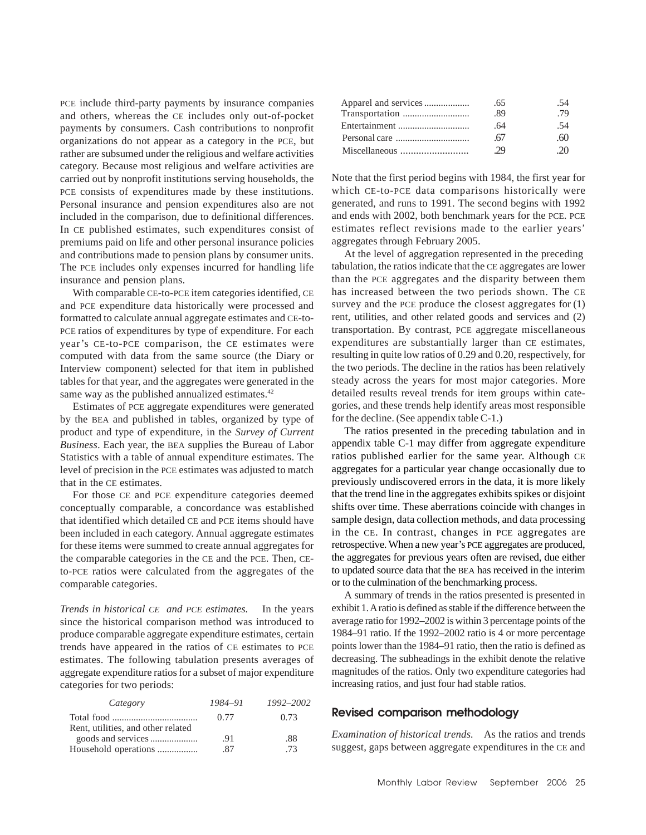PCE include third-party payments by insurance companies and others, whereas the CE includes only out-of-pocket payments by consumers. Cash contributions to nonprofit organizations do not appear as a category in the PCE, but rather are subsumed under the religious and welfare activities category. Because most religious and welfare activities are carried out by nonprofit institutions serving households, the PCE consists of expenditures made by these institutions. Personal insurance and pension expenditures also are not included in the comparison, due to definitional differences. In CE published estimates, such expenditures consist of premiums paid on life and other personal insurance policies and contributions made to pension plans by consumer units. The PCE includes only expenses incurred for handling life insurance and pension plans.

With comparable CE-to-PCE item categories identified, CE and PCE expenditure data historically were processed and formatted to calculate annual aggregate estimates and CE-to-PCE ratios of expenditures by type of expenditure. For each year's CE-to-PCE comparison, the CE estimates were computed with data from the same source (the Diary or Interview component) selected for that item in published tables for that year, and the aggregates were generated in the same way as the published annualized estimates.<sup>42</sup>

Estimates of PCE aggregate expenditures were generated by the BEA and published in tables, organized by type of product and type of expenditure, in the *Survey of Current Business*. Each year, the BEA supplies the Bureau of Labor Statistics with a table of annual expenditure estimates. The level of precision in the PCE estimates was adjusted to match that in the CE estimates.

For those CE and PCE expenditure categories deemed conceptually comparable, a concordance was established that identified which detailed CE and PCE items should have been included in each category. Annual aggregate estimates for these items were summed to create annual aggregates for the comparable categories in the CE and the PCE. Then, CEto-PCE ratios were calculated from the aggregates of the comparable categories.

*Trends in historical CE and PCE estimates.* In the years since the historical comparison method was introduced to produce comparable aggregate expenditure estimates, certain trends have appeared in the ratios of CE estimates to PCE estimates. The following tabulation presents averages of aggregate expenditure ratios for a subset of major expenditure categories for two periods:

| Category                           | 1984-91 | 1992–2002 |
|------------------------------------|---------|-----------|
|                                    | 0.77    | 0.73      |
| Rent, utilities, and other related |         |           |
|                                    | .91     | .88       |
|                                    | .87     | -73       |
|                                    |         |           |

| .65 | .54 |
|-----|-----|
| -89 | .79 |
| .64 | .54 |
| .67 | .60 |
| 29  | -20 |

Note that the first period begins with 1984, the first year for which CE-to-PCE data comparisons historically were generated, and runs to 1991. The second begins with 1992 and ends with 2002, both benchmark years for the PCE. PCE estimates reflect revisions made to the earlier years' aggregates through February 2005.

At the level of aggregation represented in the preceding tabulation, the ratios indicate that the CE aggregates are lower than the PCE aggregates and the disparity between them has increased between the two periods shown. The CE survey and the PCE produce the closest aggregates for (1) rent, utilities, and other related goods and services and (2) transportation. By contrast, PCE aggregate miscellaneous expenditures are substantially larger than CE estimates, resulting in quite low ratios of 0.29 and 0.20, respectively, for the two periods. The decline in the ratios has been relatively steady across the years for most major categories. More detailed results reveal trends for item groups within categories, and these trends help identify areas most responsible for the decline. (See appendix table C-1.)

The ratios presented in the preceding tabulation and in appendix table C-1 may differ from aggregate expenditure ratios published earlier for the same year. Although CE aggregates for a particular year change occasionally due to previously undiscovered errors in the data, it is more likely that the trend line in the aggregates exhibits spikes or disjoint shifts over time. These aberrations coincide with changes in sample design, data collection methods, and data processing in the CE. In contrast, changes in PCE aggregates are retrospective. When a new year's PCE aggregates are produced, the aggregates for previous years often are revised, due either to updated source data that the BEA has received in the interim or to the culmination of the benchmarking process.

A summary of trends in the ratios presented is presented in exhibit 1. A ratio is defined as stable if the difference between the average ratio for 1992–2002 is within 3 percentage points of the 1984–91 ratio. If the 1992–2002 ratio is 4 or more percentage points lower than the 1984–91 ratio, then the ratio is defined as decreasing. The subheadings in the exhibit denote the relative magnitudes of the ratios. Only two expenditure categories had increasing ratios, and just four had stable ratios.

## **Revised comparison methodology**

*Examination of historical trends.* As the ratios and trends suggest, gaps between aggregate expenditures in the CE and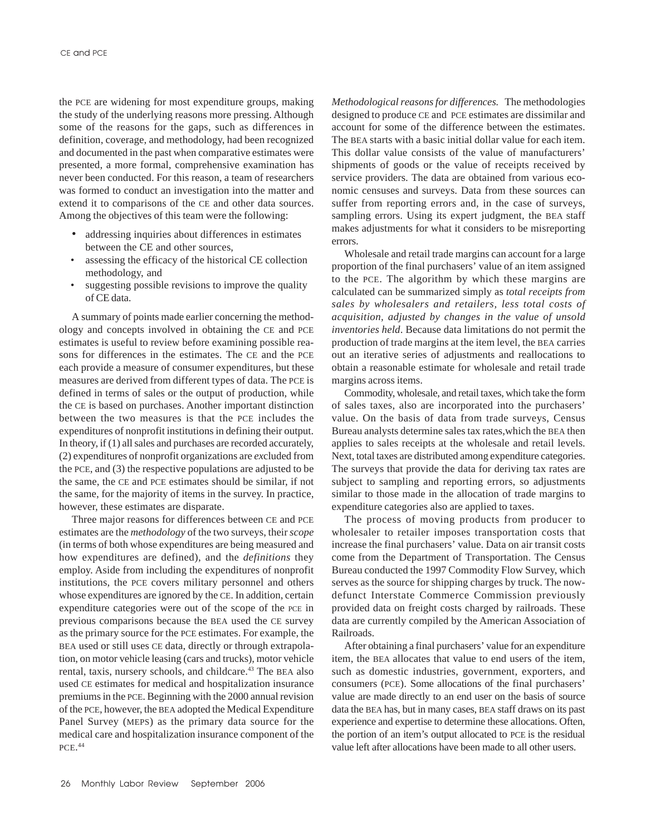the PCE are widening for most expenditure groups, making the study of the underlying reasons more pressing. Although some of the reasons for the gaps, such as differences in definition, coverage, and methodology, had been recognized and documented in the past when comparative estimates were presented, a more formal, comprehensive examination has never been conducted. For this reason, a team of researchers was formed to conduct an investigation into the matter and extend it to comparisons of the CE and other data sources. Among the objectives of this team were the following:

- addressing inquiries about differences in estimates between the CE and other sources,
- assessing the efficacy of the historical CE collection methodology, and
- suggesting possible revisions to improve the quality of CE data.

A summary of points made earlier concerning the methodology and concepts involved in obtaining the CE and PCE estimates is useful to review before examining possible reasons for differences in the estimates. The CE and the PCE each provide a measure of consumer expenditures, but these measures are derived from different types of data. The PCE is defined in terms of sales or the output of production, while the CE is based on purchases. Another important distinction between the two measures is that the PCE includes the expenditures of nonprofit institutions in defining their output. In theory, if (1) all sales and purchases are recorded accurately, (2) expenditures of nonprofit organizations are *ex*cluded from the PCE, and (3) the respective populations are adjusted to be the same, the CE and PCE estimates should be similar, if not the same, for the majority of items in the survey. In practice, however, these estimates are disparate.

Three major reasons for differences between CE and PCE estimates are the *methodology* of the two surveys, their *scope* (in terms of both whose expenditures are being measured and how expenditures are defined), and the *definitions* they employ. Aside from including the expenditures of nonprofit institutions, the PCE covers military personnel and others whose expenditures are ignored by the CE. In addition, certain expenditure categories were out of the scope of the PCE in previous comparisons because the BEA used the CE survey as the primary source for the PCE estimates. For example, the BEA used or still uses CE data, directly or through extrapolation, on motor vehicle leasing (cars and trucks), motor vehicle rental, taxis, nursery schools, and childcare.<sup>43</sup> The BEA also used CE estimates for medical and hospitalization insurance premiums in the PCE. Beginning with the 2000 annual revision of the PCE, however, the BEA adopted the Medical Expenditure Panel Survey (MEPS) as the primary data source for the medical care and hospitalization insurance component of the PCE. 44

*Methodological reasons for differences.* The methodologies designed to produce CE and PCE estimates are dissimilar and account for some of the difference between the estimates. The BEA starts with a basic initial dollar value for each item. This dollar value consists of the value of manufacturers' shipments of goods or the value of receipts received by service providers. The data are obtained from various economic censuses and surveys. Data from these sources can suffer from reporting errors and, in the case of surveys, sampling errors. Using its expert judgment, the BEA staff makes adjustments for what it considers to be misreporting errors.

Wholesale and retail trade margins can account for a large proportion of the final purchasers' value of an item assigned to the PCE. The algorithm by which these margins are calculated can be summarized simply as *total receipts from sales by wholesalers and retailers, less total costs of acquisition, adjusted by changes in the value of unsold inventories held*. Because data limitations do not permit the production of trade margins at the item level, the BEA carries out an iterative series of adjustments and reallocations to obtain a reasonable estimate for wholesale and retail trade margins across items.

Commodity, wholesale, and retail taxes, which take the form of sales taxes, also are incorporated into the purchasers' value. On the basis of data from trade surveys, Census Bureau analysts determine sales tax rates,which the BEA then applies to sales receipts at the wholesale and retail levels. Next, total taxes are distributed among expenditure categories. The surveys that provide the data for deriving tax rates are subject to sampling and reporting errors, so adjustments similar to those made in the allocation of trade margins to expenditure categories also are applied to taxes.

The process of moving products from producer to wholesaler to retailer imposes transportation costs that increase the final purchasers' value. Data on air transit costs come from the Department of Transportation. The Census Bureau conducted the 1997 Commodity Flow Survey, which serves as the source for shipping charges by truck. The nowdefunct Interstate Commerce Commission previously provided data on freight costs charged by railroads. These data are currently compiled by the American Association of Railroads.

After obtaining a final purchasers' value for an expenditure item, the BEA allocates that value to end users of the item, such as domestic industries, government, exporters, and consumers (PCE). Some allocations of the final purchasers' value are made directly to an end user on the basis of source data the BEA has, but in many cases, BEA staff draws on its past experience and expertise to determine these allocations. Often, the portion of an item's output allocated to PCE is the residual value left after allocations have been made to all other users.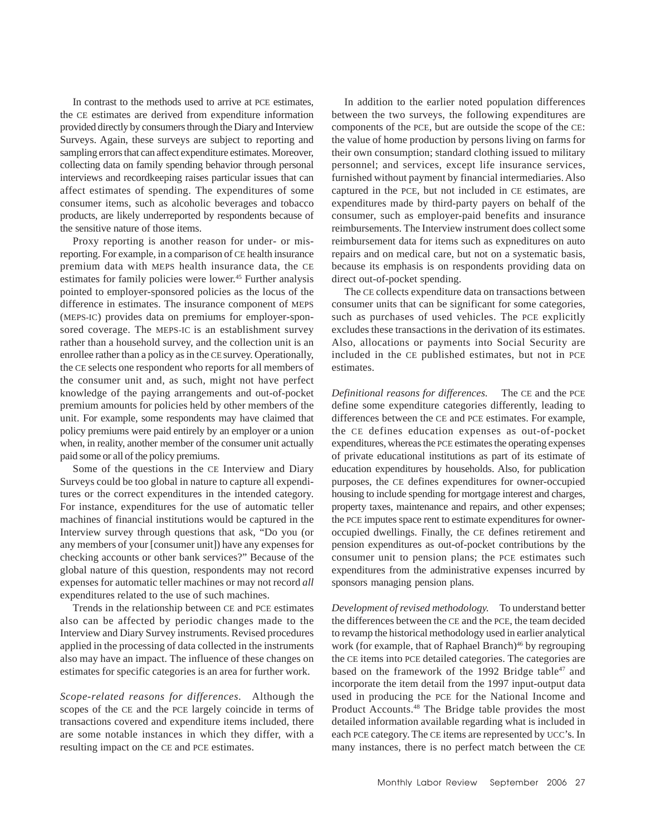In contrast to the methods used to arrive at PCE estimates, the CE estimates are derived from expenditure information provided directly by consumers through the Diary and Interview Surveys. Again, these surveys are subject to reporting and sampling errors that can affect expenditure estimates. Moreover, collecting data on family spending behavior through personal interviews and recordkeeping raises particular issues that can affect estimates of spending. The expenditures of some consumer items, such as alcoholic beverages and tobacco products, are likely underreported by respondents because of the sensitive nature of those items.

Proxy reporting is another reason for under- or misreporting. For example, in a comparison of CE health insurance premium data with MEPS health insurance data, the CE estimates for family policies were lower.<sup>45</sup> Further analysis pointed to employer-sponsored policies as the locus of the difference in estimates. The insurance component of MEPS (MEPS-IC) provides data on premiums for employer-sponsored coverage. The MEPS-IC is an establishment survey rather than a household survey, and the collection unit is an enrollee rather than a policy as in the CE survey. Operationally, the CE selects one respondent who reports for all members of the consumer unit and, as such, might not have perfect knowledge of the paying arrangements and out-of-pocket premium amounts for policies held by other members of the unit. For example, some respondents may have claimed that policy premiums were paid entirely by an employer or a union when, in reality, another member of the consumer unit actually paid some or all of the policy premiums.

Some of the questions in the CE Interview and Diary Surveys could be too global in nature to capture all expenditures or the correct expenditures in the intended category. For instance, expenditures for the use of automatic teller machines of financial institutions would be captured in the Interview survey through questions that ask, "Do you (or any members of your [consumer unit]) have any expenses for checking accounts or other bank services?" Because of the global nature of this question, respondents may not record expenses for automatic teller machines or may not record *all* expenditures related to the use of such machines.

Trends in the relationship between CE and PCE estimates also can be affected by periodic changes made to the Interview and Diary Survey instruments. Revised procedures applied in the processing of data collected in the instruments also may have an impact. The influence of these changes on estimates for specific categories is an area for further work.

*Scope-related reasons for differences.* Although the scopes of the CE and the PCE largely coincide in terms of transactions covered and expenditure items included, there are some notable instances in which they differ, with a resulting impact on the CE and PCE estimates.

In addition to the earlier noted population differences between the two surveys, the following expenditures are components of the PCE, but are outside the scope of the CE: the value of home production by persons living on farms for their own consumption; standard clothing issued to military personnel; and services, except life insurance services, furnished without payment by financial intermediaries. Also captured in the PCE, but not included in CE estimates, are expenditures made by third-party payers on behalf of the consumer, such as employer-paid benefits and insurance reimbursements. The Interview instrument does collect some reimbursement data for items such as expneditures on auto repairs and on medical care, but not on a systematic basis, because its emphasis is on respondents providing data on direct out-of-pocket spending.

The CE collects expenditure data on transactions between consumer units that can be significant for some categories, such as purchases of used vehicles. The PCE explicitly excludes these transactions in the derivation of its estimates. Also, allocations or payments into Social Security are included in the CE published estimates, but not in PCE estimates.

*Definitional reasons for differences.* The CE and the PCE define some expenditure categories differently, leading to differences between the CE and PCE estimates. For example, the CE defines education expenses as out-of-pocket expenditures, whereas the PCE estimates the operating expenses of private educational institutions as part of its estimate of education expenditures by households. Also, for publication purposes, the CE defines expenditures for owner-occupied housing to include spending for mortgage interest and charges, property taxes, maintenance and repairs, and other expenses; the PCE imputes space rent to estimate expenditures for owneroccupied dwellings. Finally, the CE defines retirement and pension expenditures as out-of-pocket contributions by the consumer unit to pension plans; the PCE estimates such expenditures from the administrative expenses incurred by sponsors managing pension plans.

*Development of revised methodology.* To understand better the differences between the CE and the PCE, the team decided to revamp the historical methodology used in earlier analytical work (for example, that of Raphael Branch)<sup>46</sup> by regrouping the CE items into PCE detailed categories. The categories are based on the framework of the 1992 Bridge table<sup>47</sup> and incorporate the item detail from the 1997 input-output data used in producing the PCE for the National Income and Product Accounts.48 The Bridge table provides the most detailed information available regarding what is included in each PCE category. The CE items are represented by UCC's. In many instances, there is no perfect match between the CE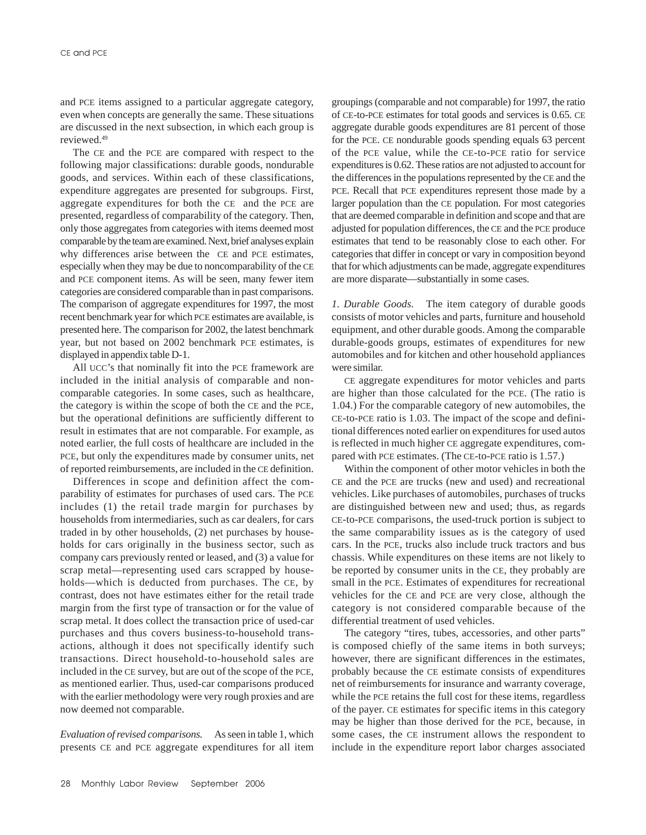and PCE items assigned to a particular aggregate category, even when concepts are generally the same. These situations are discussed in the next subsection, in which each group is reviewed.49

The CE and the PCE are compared with respect to the following major classifications: durable goods, nondurable goods, and services. Within each of these classifications, expenditure aggregates are presented for subgroups. First, aggregate expenditures for both the CE and the PCE are presented, regardless of comparability of the category. Then, only those aggregates from categories with items deemed most comparable by the team are examined. Next, brief analyses explain why differences arise between the CE and PCE estimates, especially when they may be due to noncomparability of the CE and PCE component items. As will be seen, many fewer item categories are considered comparable than in past comparisons. The comparison of aggregate expenditures for 1997, the most recent benchmark year for which PCE estimates are available, is presented here. The comparison for 2002, the latest benchmark year, but not based on 2002 benchmark PCE estimates, is displayed in appendix table D-1.

All UCC's that nominally fit into the PCE framework are included in the initial analysis of comparable and noncomparable categories. In some cases, such as healthcare, the category is within the scope of both the CE and the PCE, but the operational definitions are sufficiently different to result in estimates that are not comparable. For example, as noted earlier, the full costs of healthcare are included in the PCE, but only the expenditures made by consumer units, net of reported reimbursements, are included in the CE definition.

Differences in scope and definition affect the comparability of estimates for purchases of used cars. The PCE includes (1) the retail trade margin for purchases by households from intermediaries, such as car dealers, for cars traded in by other households, (2) net purchases by households for cars originally in the business sector, such as company cars previously rented or leased, and (3) a value for scrap metal—representing used cars scrapped by households—which is deducted from purchases. The CE, by contrast, does not have estimates either for the retail trade margin from the first type of transaction or for the value of scrap metal. It does collect the transaction price of used-car purchases and thus covers business-to-household transactions, although it does not specifically identify such transactions. Direct household-to-household sales are included in the CE survey, but are out of the scope of the PCE, as mentioned earlier. Thus, used-car comparisons produced with the earlier methodology were very rough proxies and are now deemed not comparable.

*Evaluation of revised comparisons.* As seen in table 1, which presents CE and PCE aggregate expenditures for all item groupings (comparable and not comparable) for 1997, the ratio of CE-to-PCE estimates for total goods and services is 0.65. CE aggregate durable goods expenditures are 81 percent of those for the PCE. CE nondurable goods spending equals 63 percent of the PCE value, while the CE-to-PCE ratio for service expenditures is 0.62. These ratios are not adjusted to account for the differences in the populations represented by the CE and the PCE. Recall that PCE expenditures represent those made by a larger population than the CE population. For most categories that are deemed comparable in definition and scope and that are adjusted for population differences, the CE and the PCE produce estimates that tend to be reasonably close to each other. For categories that differ in concept or vary in composition beyond that for which adjustments can be made, aggregate expenditures are more disparate—substantially in some cases.

*1. Durable Goods.* The item category of durable goods consists of motor vehicles and parts, furniture and household equipment, and other durable goods. Among the comparable durable-goods groups, estimates of expenditures for new automobiles and for kitchen and other household appliances were similar.

CE aggregate expenditures for motor vehicles and parts are higher than those calculated for the PCE. (The ratio is 1.04.) For the comparable category of new automobiles, the CE-to-PCE ratio is 1.03. The impact of the scope and definitional differences noted earlier on expenditures for used autos is reflected in much higher CE aggregate expenditures, compared with PCE estimates. (The CE-to-PCE ratio is 1.57.)

Within the component of other motor vehicles in both the CE and the PCE are trucks (new and used) and recreational vehicles. Like purchases of automobiles, purchases of trucks are distinguished between new and used; thus, as regards CE-to-PCE comparisons, the used-truck portion is subject to the same comparability issues as is the category of used cars. In the PCE, trucks also include truck tractors and bus chassis. While expenditures on these items are not likely to be reported by consumer units in the CE, they probably are small in the PCE. Estimates of expenditures for recreational vehicles for the CE and PCE are very close, although the category is not considered comparable because of the differential treatment of used vehicles.

The category "tires, tubes, accessories, and other parts" is composed chiefly of the same items in both surveys; however, there are significant differences in the estimates, probably because the CE estimate consists of expenditures net of reimbursements for insurance and warranty coverage, while the PCE retains the full cost for these items, regardless of the payer. CE estimates for specific items in this category may be higher than those derived for the PCE, because, in some cases, the CE instrument allows the respondent to include in the expenditure report labor charges associated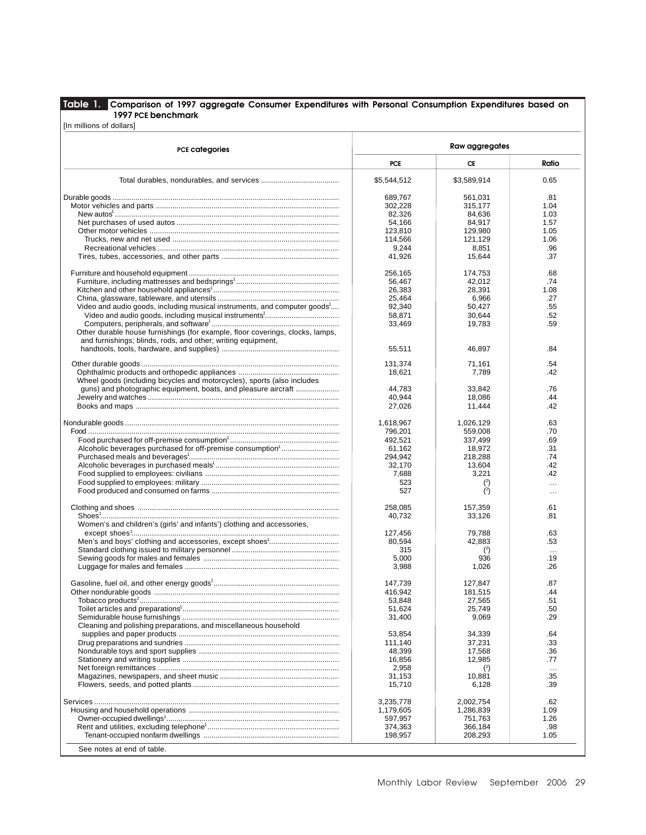## **Table 1. Comparison of 1997 aggregate Consumer Expenditures with Personal Consumption Expenditures based on 1997 PCE benchmark**

[In millions of dollars]

| <b>PCE categories</b>                                                         | Raw aggregates |                  |          |  |  |
|-------------------------------------------------------------------------------|----------------|------------------|----------|--|--|
|                                                                               | PCE            | CE               | Ratio    |  |  |
|                                                                               | \$5,544,512    | \$3,589,914      | 0.65     |  |  |
|                                                                               | 689,767        | 561,031          | .81      |  |  |
|                                                                               | 302,228        | 315,177          | 1.04     |  |  |
|                                                                               | 82,326         | 84,636           | 1.03     |  |  |
|                                                                               | 54.166         | 84.917           | 1.57     |  |  |
|                                                                               | 123,810        | 129,980          | 1.05     |  |  |
|                                                                               | 114,566        | 121,129          | 1.06     |  |  |
|                                                                               | 9,244          | 8,851            | .96      |  |  |
|                                                                               | 41,926         | 15,644           | .37      |  |  |
|                                                                               | 256,165        | 174,753          | .68      |  |  |
|                                                                               | 56,467         | 42,012           | .74      |  |  |
|                                                                               | 26,383         | 28,391           | 1.08     |  |  |
|                                                                               | 25,464         | 6.966            | .27      |  |  |
| Video and audio goods, including musical instruments, and computer goods      | 92,340         | 50,427           | .55      |  |  |
|                                                                               | 58,871         | 30,644           | .52      |  |  |
|                                                                               | 33,469         | 19,783           | .59      |  |  |
| Other durable house furnishings (for example, floor coverings, clocks, lamps, |                |                  |          |  |  |
| and furnishings; blinds, rods, and other; writing equipment,                  |                |                  |          |  |  |
|                                                                               | 55,511         | 46,897           | .84      |  |  |
|                                                                               | 131,374        | 71,161           | .54      |  |  |
|                                                                               | 18,621         | 7,789            | .42      |  |  |
| Wheel goods (including bicycles and motorcycles), sports (also includes       |                |                  |          |  |  |
| guns) and photographic equipment, boats, and pleasure aircraft                | 44,783         | 33,842           | .76      |  |  |
|                                                                               | 40,944         | 18,086           | .44      |  |  |
|                                                                               | 27,026         | 11,444           | .42      |  |  |
|                                                                               |                |                  |          |  |  |
|                                                                               | 1,618,967      | 1,026,129        | .63      |  |  |
|                                                                               | 796,201        | 559,008          | .70      |  |  |
|                                                                               | 492,521        | 337,499          | .69      |  |  |
| Alcoholic beverages purchased for off-premise consumption <sup>1</sup>        | 61,162         | 18,972           | .31      |  |  |
|                                                                               |                |                  |          |  |  |
|                                                                               | 294,942        | 218,288          | .74      |  |  |
|                                                                               | 32,170         | 13,604           | .42      |  |  |
|                                                                               | 7,688          | 3,221            | .42      |  |  |
|                                                                               | 523            | $(2)$            | $\cdots$ |  |  |
|                                                                               | 527            | $\binom{2}{ }$   | $\cdots$ |  |  |
|                                                                               | 258,085        | 157,359          | .61      |  |  |
|                                                                               | 40,732         | 33,126           | .81      |  |  |
| Women's and children's (girls' and infants') clothing and accessories,        |                |                  |          |  |  |
|                                                                               | 127,456        | 79,788           | .63      |  |  |
|                                                                               | 80,594         | 42,883           | .53      |  |  |
|                                                                               | 315            | $\binom{2}{ }$   | $\cdots$ |  |  |
|                                                                               | 5,000          | 936              | .19      |  |  |
|                                                                               | 3,988          | 1,026            | .26      |  |  |
|                                                                               | 147,739        | 127,847          | .87      |  |  |
|                                                                               | 416,942        | 181.515          | .44      |  |  |
|                                                                               | 53,848         | 27,565           | .51      |  |  |
|                                                                               | 51,624         | 25,749           | .50      |  |  |
|                                                                               | 31,400         | 9,069            | .29      |  |  |
| Cleaning and polishing preparations, and miscellaneous household              |                |                  |          |  |  |
|                                                                               | 53,854         |                  | .64      |  |  |
|                                                                               | 111,140        | 34,339<br>37,231 | .33      |  |  |
|                                                                               |                |                  |          |  |  |
|                                                                               | 48,399         | 17,568           | .36      |  |  |
|                                                                               | 16,856         | 12,985           | .77      |  |  |
|                                                                               | 2,958          | $\binom{2}{ }$   | $\cdots$ |  |  |
|                                                                               | 31,153         | 10,881           | .35      |  |  |
|                                                                               | 15,710         | 6,128            | .39      |  |  |
|                                                                               | 3,235,778      | 2,002,754        | .62      |  |  |
|                                                                               | 1,179,605      | 1,286,839        | 1.09     |  |  |
|                                                                               | 597,957        | 751,763          | 1.26     |  |  |
|                                                                               | 374,363        | 366,184          | .98      |  |  |
|                                                                               | 198,957        | 208,293          | 1.05     |  |  |
|                                                                               |                |                  |          |  |  |
| See notes at end of table.                                                    |                |                  |          |  |  |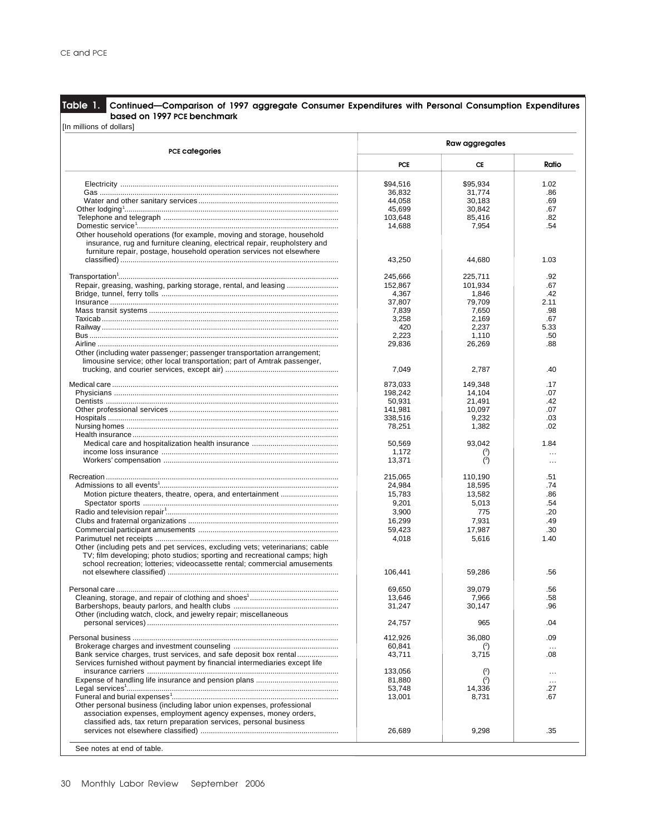**Table 1. Continued—Comparison of 1997 aggregate Consumer Expenditures with Personal Consumption Expenditures based on 1997 PCE benchmark**

| <b>PCE categories</b>                                                        | Raw aggregates |                |           |  |  |
|------------------------------------------------------------------------------|----------------|----------------|-----------|--|--|
|                                                                              | PCE            | CE             | Ratio     |  |  |
|                                                                              | \$94,516       | \$95,934       | 1.02      |  |  |
|                                                                              | 36,832         | 31.774         | .86       |  |  |
|                                                                              |                |                |           |  |  |
|                                                                              | 44,058         | 30,183         | .69       |  |  |
|                                                                              | 45,699         | 30,842         | .67       |  |  |
|                                                                              | 103,648        | 85,416         | .82       |  |  |
|                                                                              | 14,688         | 7,954          | .54       |  |  |
| Other household operations (for example, moving and storage, household       |                |                |           |  |  |
| insurance, rug and furniture cleaning, electrical repair, reupholstery and   |                |                |           |  |  |
| furniture repair, postage, household operation services not elsewhere        |                |                |           |  |  |
|                                                                              | 43,250         | 44,680         | 1.03      |  |  |
|                                                                              |                |                |           |  |  |
|                                                                              | 245,666        | 225,711        | .92       |  |  |
| Repair, greasing, washing, parking storage, rental, and leasing              | 152,867        | 101,934        | .67       |  |  |
|                                                                              | 4,367          | 1,846          | .42       |  |  |
|                                                                              | 37,807         | 79,709         | 2.11      |  |  |
|                                                                              | 7,839          | 7,650          | .98       |  |  |
|                                                                              | 3,258          | 2,169          | .67       |  |  |
|                                                                              | 420            | 2,237          | 5.33      |  |  |
|                                                                              |                |                |           |  |  |
|                                                                              | 2,223          | 1,110          | .50       |  |  |
|                                                                              | 29,836         | 26,269         | .88       |  |  |
| Other (including water passenger; passenger transportation arrangement;      |                |                |           |  |  |
| limousine service; other local transportation; part of Amtrak passenger,     |                |                |           |  |  |
|                                                                              | 7,049          | 2,787          | .40       |  |  |
|                                                                              |                |                |           |  |  |
|                                                                              | 873,033        | 149,348        | .17       |  |  |
|                                                                              | 198,242        | 14,104         | .07       |  |  |
|                                                                              | 50,931         | 21,491         | .42       |  |  |
|                                                                              | 141,981        | 10,097         | .07       |  |  |
|                                                                              | 338,516        | 9,232          | .03       |  |  |
|                                                                              | 78,251         | 1,382          | .02       |  |  |
|                                                                              |                |                |           |  |  |
|                                                                              | 50,569         | 93,042         | 1.84      |  |  |
|                                                                              | 1,172          | (3)            |           |  |  |
|                                                                              | 13,371         | (3)            | $\ddotsc$ |  |  |
|                                                                              |                |                | $\ddotsc$ |  |  |
|                                                                              | 215,065        | 110,190        | .51       |  |  |
|                                                                              |                | 18,595         | .74       |  |  |
|                                                                              | 24,984         |                |           |  |  |
|                                                                              | 15,783         | 13,582         | .86       |  |  |
|                                                                              | 9,201          | 5,013          | .54       |  |  |
|                                                                              | 3,900          | 775            | .20       |  |  |
|                                                                              | 16,299         | 7,931          | .49       |  |  |
|                                                                              | 59,423         | 17,987         | .30       |  |  |
|                                                                              | 4,018          | 5,616          | 1.40      |  |  |
| Other (including pets and pet services, excluding vets; veterinarians; cable |                |                |           |  |  |
|                                                                              |                |                |           |  |  |
| TV; film developing; photo studios; sporting and recreational camps; high    |                |                |           |  |  |
| school recreation; lotteries; videocassette rental; commercial amusements    |                |                |           |  |  |
|                                                                              | 106,441        | 59,286         | .56       |  |  |
|                                                                              |                |                |           |  |  |
|                                                                              | 69,650         | 39,079         | .56       |  |  |
|                                                                              | 13,646         | 7,966          | .58       |  |  |
|                                                                              | 31,247         | 30,147         | .96       |  |  |
| Other (including watch, clock, and jewelry repair; miscellaneous             |                |                |           |  |  |
|                                                                              | 24,757         | 965            | .04       |  |  |
|                                                                              |                |                |           |  |  |
|                                                                              | 412,926        | 36,080         | .09       |  |  |
|                                                                              | 60,841         |                | $\ddotsc$ |  |  |
| Bank service charges, trust services, and safe deposit box rental            | 43,711         | 3,715          | .08       |  |  |
| Services furnished without payment by financial intermediaries except life   |                |                |           |  |  |
|                                                                              | 133,056        | $\binom{2}{ }$ |           |  |  |
|                                                                              | 81,880         | (2)            | $\ldots$  |  |  |
|                                                                              |                |                | $\ldots$  |  |  |
|                                                                              | 53,748         | 14,336         | .27       |  |  |
|                                                                              | 13,001         | 8,731          | .67       |  |  |
| Other personal business (including labor union expenses, professional        |                |                |           |  |  |
| association expenses, employment agency expenses, money orders,              |                |                |           |  |  |
| classified ads, tax return preparation services, personal business           |                |                |           |  |  |
|                                                                              | 26,689         | 9,298          | .35       |  |  |
|                                                                              |                |                |           |  |  |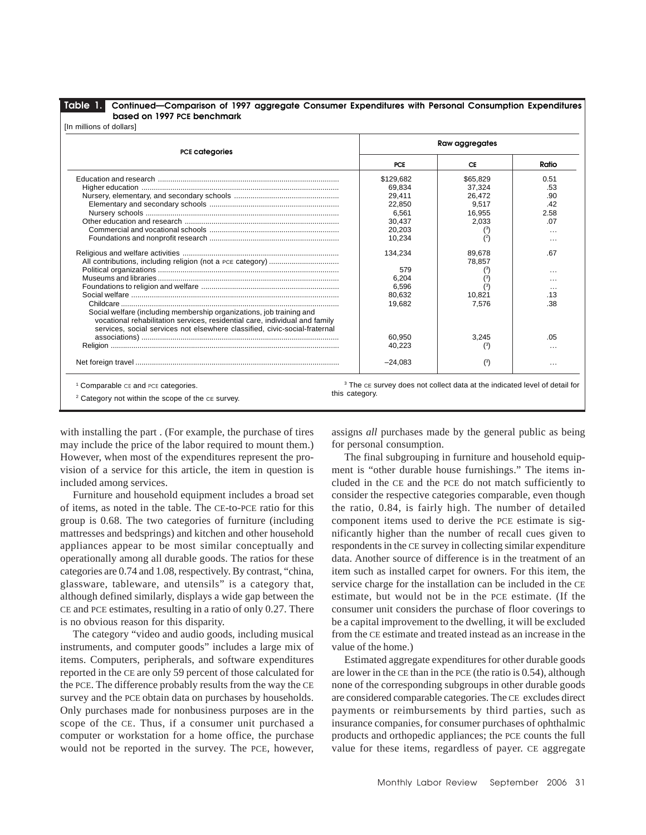**Table 1. Continued—Comparison of 1997 aggregate Consumer Expenditures with Personal Consumption Expenditures based on 1997 PCE benchmark**

| <b>PCE categories</b>                                                       | Raw aggregates |                     |           |  |  |
|-----------------------------------------------------------------------------|----------------|---------------------|-----------|--|--|
|                                                                             | <b>PCE</b>     | CE                  | Ratio     |  |  |
|                                                                             | \$129,682      | \$65,829            | 0.51      |  |  |
|                                                                             | 69.834         | 37,324              | .53       |  |  |
|                                                                             | 29.411         | 26.472              | .90       |  |  |
|                                                                             | 22,850         | 9.517               | .42       |  |  |
|                                                                             | 6,561          | 16,955              | 2.58      |  |  |
|                                                                             | 30.437         | 2.033               | .07       |  |  |
|                                                                             | 20,203         | $^{\left(3\right)}$ | $\cdots$  |  |  |
|                                                                             | 10,234         | (2)                 | $\ddotsc$ |  |  |
|                                                                             | 134,234        | 89,678              | .67       |  |  |
|                                                                             |                | 78,857              |           |  |  |
|                                                                             | 579            |                     |           |  |  |
|                                                                             | 6,204          |                     | $\cdots$  |  |  |
|                                                                             | 6,596          |                     | $\ddotsc$ |  |  |
|                                                                             | 80,632         | 10,821              | .13       |  |  |
|                                                                             | 19,682         | 7,576               | .38       |  |  |
| Social welfare (including membership organizations, job training and        |                |                     |           |  |  |
| vocational rehabilitation services, residential care, individual and family |                |                     |           |  |  |
| services, social services not elsewhere classified, civic-social-fraternal  |                |                     |           |  |  |
|                                                                             | 60.950         | 3,245               | .05       |  |  |
|                                                                             | 40,223         | $^{\left(3\right)}$ | $\cdots$  |  |  |
|                                                                             | $-24,083$      | (3)                 | $\cdots$  |  |  |

this category.

2 Category not within the scope of the CE survey.

with installing the part . (For example, the purchase of tires may include the price of the labor required to mount them.) However, when most of the expenditures represent the provision of a service for this article, the item in question is included among services.

Furniture and household equipment includes a broad set of items, as noted in the table. The CE-to-PCE ratio for this group is 0.68. The two categories of furniture (including mattresses and bedsprings) and kitchen and other household appliances appear to be most similar conceptually and operationally among all durable goods. The ratios for these categories are 0.74 and 1.08, respectively. By contrast, "china, glassware, tableware, and utensils" is a category that, although defined similarly, displays a wide gap between the CE and PCE estimates, resulting in a ratio of only 0.27. There is no obvious reason for this disparity.

The category "video and audio goods, including musical instruments, and computer goods" includes a large mix of items. Computers, peripherals, and software expenditures reported in the CE are only 59 percent of those calculated for the PCE. The difference probably results from the way the CE survey and the PCE obtain data on purchases by households. Only purchases made for nonbusiness purposes are in the scope of the CE. Thus, if a consumer unit purchased a computer or workstation for a home office, the purchase would not be reported in the survey. The PCE, however, assigns *all* purchases made by the general public as being for personal consumption.

The final subgrouping in furniture and household equipment is "other durable house furnishings." The items included in the CE and the PCE do not match sufficiently to consider the respective categories comparable, even though the ratio, 0.84, is fairly high. The number of detailed component items used to derive the PCE estimate is significantly higher than the number of recall cues given to respondents in the CE survey in collecting similar expenditure data. Another source of difference is in the treatment of an item such as installed carpet for owners. For this item, the service charge for the installation can be included in the CE estimate, but would not be in the PCE estimate. (If the consumer unit considers the purchase of floor coverings to be a capital improvement to the dwelling, it will be excluded from the CE estimate and treated instead as an increase in the value of the home.)

Estimated aggregate expenditures for other durable goods are lower in the CE than in the PCE (the ratio is 0.54), although none of the corresponding subgroups in other durable goods are considered comparable categories. The CE excludes direct payments or reimbursements by third parties, such as insurance companies, for consumer purchases of ophthalmic products and orthopedic appliances; the PCE counts the full value for these items, regardless of payer. CE aggregate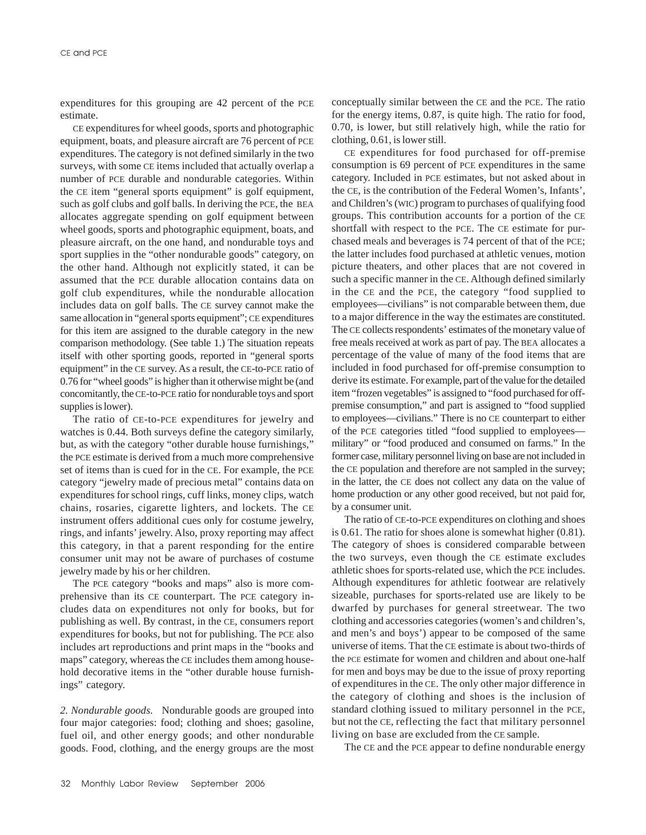expenditures for this grouping are 42 percent of the PCE estimate.

CE expenditures for wheel goods, sports and photographic equipment, boats, and pleasure aircraft are 76 percent of PCE expenditures. The category is not defined similarly in the two surveys, with some CE items included that actually overlap a number of PCE durable and nondurable categories. Within the CE item "general sports equipment" is golf equipment, such as golf clubs and golf balls. In deriving the PCE, the BEA allocates aggregate spending on golf equipment between wheel goods, sports and photographic equipment, boats, and pleasure aircraft, on the one hand, and nondurable toys and sport supplies in the "other nondurable goods" category, on the other hand. Although not explicitly stated, it can be assumed that the PCE durable allocation contains data on golf club expenditures, while the nondurable allocation includes data on golf balls. The CE survey cannot make the same allocation in "general sports equipment"; CE expenditures for this item are assigned to the durable category in the new comparison methodology. (See table 1.) The situation repeats itself with other sporting goods, reported in "general sports equipment" in the CE survey. As a result, the CE-to-PCE ratio of 0.76 for "wheel goods" is higher than it otherwise might be (and concomitantly, the CE-to-PCE ratio for nondurable toys and sport supplies is lower).

The ratio of CE-to-PCE expenditures for jewelry and watches is 0.44. Both surveys define the category similarly, but, as with the category "other durable house furnishings," the PCE estimate is derived from a much more comprehensive set of items than is cued for in the CE. For example, the PCE category "jewelry made of precious metal" contains data on expenditures for school rings, cuff links, money clips, watch chains, rosaries, cigarette lighters, and lockets. The CE instrument offers additional cues only for costume jewelry, rings, and infants' jewelry. Also, proxy reporting may affect this category, in that a parent responding for the entire consumer unit may not be aware of purchases of costume jewelry made by his or her children.

The PCE category "books and maps" also is more comprehensive than its CE counterpart. The PCE category includes data on expenditures not only for books, but for publishing as well. By contrast, in the CE, consumers report expenditures for books, but not for publishing. The PCE also includes art reproductions and print maps in the "books and maps" category, whereas the CE includes them among household decorative items in the "other durable house furnishings" category.

*2. Nondurable goods.* Nondurable goods are grouped into four major categories: food; clothing and shoes; gasoline, fuel oil, and other energy goods; and other nondurable goods. Food, clothing, and the energy groups are the most conceptually similar between the CE and the PCE. The ratio for the energy items, 0.87, is quite high. The ratio for food, 0.70, is lower, but still relatively high, while the ratio for clothing, 0.61, is lower still.

CE expenditures for food purchased for off-premise consumption is 69 percent of PCE expenditures in the same category. Included in PCE estimates, but not asked about in the CE, is the contribution of the Federal Women's, Infants', and Children's (WIC) program to purchases of qualifying food groups. This contribution accounts for a portion of the CE shortfall with respect to the PCE. The CE estimate for purchased meals and beverages is 74 percent of that of the PCE; the latter includes food purchased at athletic venues, motion picture theaters, and other places that are not covered in such a specific manner in the CE. Although defined similarly in the CE and the PCE, the category "food supplied to employees—civilians" is not comparable between them, due to a major difference in the way the estimates are constituted. The CE collects respondents' estimates of the monetary value of free meals received at work as part of pay. The BEA allocates a percentage of the value of many of the food items that are included in food purchased for off-premise consumption to derive its estimate. For example, part of the value for the detailed item "frozen vegetables" is assigned to "food purchased for offpremise consumption," and part is assigned to "food supplied to employees—civilians." There is no CE counterpart to either of the PCE categories titled "food supplied to employees military" or "food produced and consumed on farms." In the former case, military personnel living on base are not included in the CE population and therefore are not sampled in the survey; in the latter, the CE does not collect any data on the value of home production or any other good received, but not paid for, by a consumer unit.

The ratio of CE-to-PCE expenditures on clothing and shoes is 0.61. The ratio for shoes alone is somewhat higher (0.81). The category of shoes is considered comparable between the two surveys, even though the CE estimate excludes athletic shoes for sports-related use, which the PCE includes. Although expenditures for athletic footwear are relatively sizeable, purchases for sports-related use are likely to be dwarfed by purchases for general streetwear. The two clothing and accessories categories (women's and children's, and men's and boys') appear to be composed of the same universe of items. That the CE estimate is about two-thirds of the PCE estimate for women and children and about one-half for men and boys may be due to the issue of proxy reporting of expenditures in the CE. The only other major difference in the category of clothing and shoes is the inclusion of standard clothing issued to military personnel in the PCE, but not the CE, reflecting the fact that military personnel living on base are excluded from the CE sample.

The CE and the PCE appear to define nondurable energy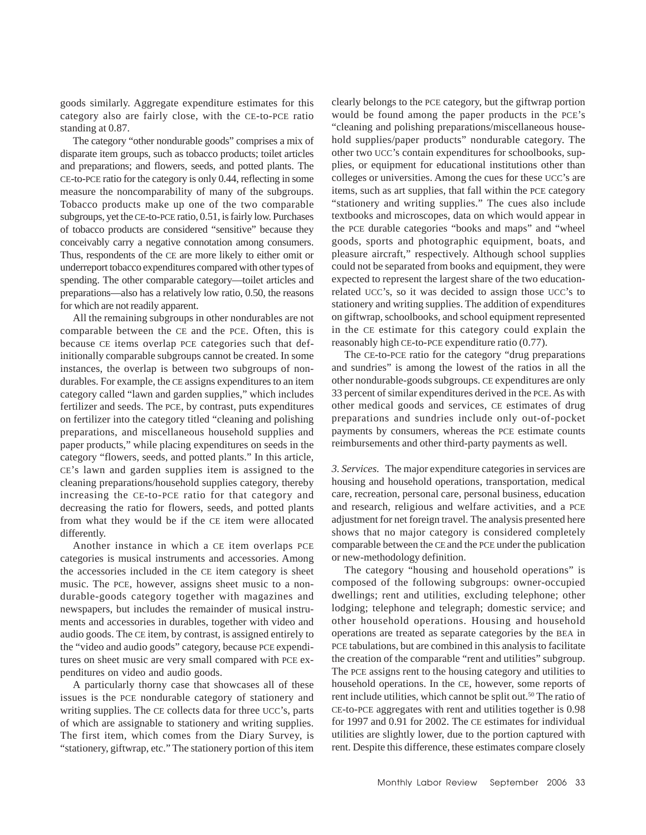goods similarly. Aggregate expenditure estimates for this category also are fairly close, with the CE-to-PCE ratio standing at 0.87.

The category "other nondurable goods" comprises a mix of disparate item groups, such as tobacco products; toilet articles and preparations; and flowers, seeds, and potted plants. The CE-to-PCE ratio for the category is only 0.44, reflecting in some measure the noncomparability of many of the subgroups. Tobacco products make up one of the two comparable subgroups, yet the CE-to-PCE ratio, 0.51, is fairly low. Purchases of tobacco products are considered "sensitive" because they conceivably carry a negative connotation among consumers. Thus, respondents of the CE are more likely to either omit or underreport tobacco expenditures compared with other types of spending. The other comparable category—toilet articles and preparations—also has a relatively low ratio, 0.50, the reasons for which are not readily apparent.

All the remaining subgroups in other nondurables are not comparable between the CE and the PCE. Often, this is because CE items overlap PCE categories such that definitionally comparable subgroups cannot be created. In some instances, the overlap is between two subgroups of nondurables. For example, the CE assigns expenditures to an item category called "lawn and garden supplies," which includes fertilizer and seeds. The PCE, by contrast, puts expenditures on fertilizer into the category titled "cleaning and polishing preparations, and miscellaneous household supplies and paper products," while placing expenditures on seeds in the category "flowers, seeds, and potted plants." In this article, CE's lawn and garden supplies item is assigned to the cleaning preparations/household supplies category, thereby increasing the CE-to-PCE ratio for that category and decreasing the ratio for flowers, seeds, and potted plants from what they would be if the CE item were allocated differently.

Another instance in which a CE item overlaps PCE categories is musical instruments and accessories. Among the accessories included in the CE item category is sheet music. The PCE, however, assigns sheet music to a nondurable-goods category together with magazines and newspapers, but includes the remainder of musical instruments and accessories in durables, together with video and audio goods. The CE item, by contrast, is assigned entirely to the "video and audio goods" category, because PCE expenditures on sheet music are very small compared with PCE expenditures on video and audio goods.

A particularly thorny case that showcases all of these issues is the PCE nondurable category of stationery and writing supplies. The CE collects data for three UCC's, parts of which are assignable to stationery and writing supplies. The first item, which comes from the Diary Survey, is "stationery, giftwrap, etc." The stationery portion of this item clearly belongs to the PCE category, but the giftwrap portion would be found among the paper products in the PCE's "cleaning and polishing preparations/miscellaneous household supplies/paper products" nondurable category. The other two UCC's contain expenditures for schoolbooks, supplies, or equipment for educational institutions other than colleges or universities. Among the cues for these UCC's are items, such as art supplies, that fall within the PCE category "stationery and writing supplies." The cues also include textbooks and microscopes, data on which would appear in the PCE durable categories "books and maps" and "wheel goods, sports and photographic equipment, boats, and pleasure aircraft," respectively. Although school supplies could not be separated from books and equipment, they were expected to represent the largest share of the two educationrelated UCC's, so it was decided to assign those UCC's to stationery and writing supplies. The addition of expenditures on giftwrap, schoolbooks, and school equipment represented in the CE estimate for this category could explain the reasonably high CE-to-PCE expenditure ratio (0.77).

The CE-to-PCE ratio for the category "drug preparations and sundries" is among the lowest of the ratios in all the other nondurable-goods subgroups. CE expenditures are only 33 percent of similar expenditures derived in the PCE. As with other medical goods and services, CE estimates of drug preparations and sundries include only out-of-pocket payments by consumers, whereas the PCE estimate counts reimbursements and other third-party payments as well.

*3. Services.* The major expenditure categories in services are housing and household operations, transportation, medical care, recreation, personal care, personal business, education and research, religious and welfare activities, and a PCE adjustment for net foreign travel. The analysis presented here shows that no major category is considered completely comparable between the CE and the PCE under the publication or new-methodology definition.

The category "housing and household operations" is composed of the following subgroups: owner-occupied dwellings; rent and utilities, excluding telephone; other lodging; telephone and telegraph; domestic service; and other household operations. Housing and household operations are treated as separate categories by the BEA in PCE tabulations, but are combined in this analysis to facilitate the creation of the comparable "rent and utilities" subgroup. The PCE assigns rent to the housing category and utilities to household operations. In the CE, however, some reports of rent include utilities, which cannot be split out.<sup>50</sup> The ratio of CE-to-PCE aggregates with rent and utilities together is 0.98 for 1997 and 0.91 for 2002. The CE estimates for individual utilities are slightly lower, due to the portion captured with rent. Despite this difference, these estimates compare closely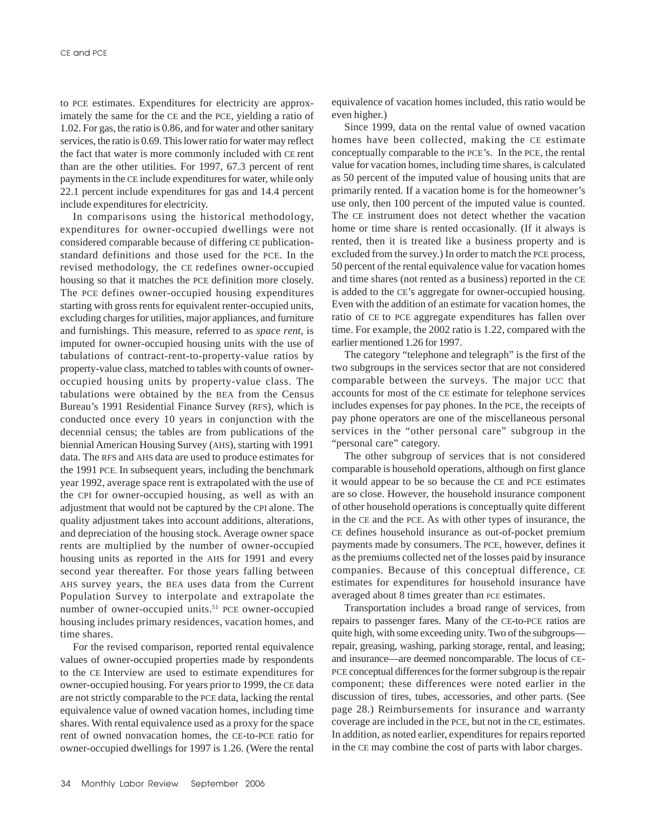to PCE estimates. Expenditures for electricity are approximately the same for the CE and the PCE, yielding a ratio of 1.02. For gas, the ratio is 0.86, and for water and other sanitary services, the ratio is 0.69. This lower ratio for water may reflect the fact that water is more commonly included with CE rent than are the other utilities. For 1997, 67.3 percent of rent payments in the CE include expenditures for water, while only 22.1 percent include expenditures for gas and 14.4 percent include expenditures for electricity.

In comparisons using the historical methodology, expenditures for owner-occupied dwellings were not considered comparable because of differing CE publicationstandard definitions and those used for the PCE. In the revised methodology, the CE redefines owner-occupied housing so that it matches the PCE definition more closely. The PCE defines owner-occupied housing expenditures starting with gross rents for equivalent renter-occupied units, excluding charges for utilities, major appliances, and furniture and furnishings. This measure, referred to as *space rent*, is imputed for owner-occupied housing units with the use of tabulations of contract-rent-to-property-value ratios by property-value class, matched to tables with counts of owneroccupied housing units by property-value class. The tabulations were obtained by the BEA from the Census Bureau's 1991 Residential Finance Survey (RFS), which is conducted once every 10 years in conjunction with the decennial census; the tables are from publications of the biennial American Housing Survey (AHS), starting with 1991 data. The RFS and AHS data are used to produce estimates for the 1991 PCE. In subsequent years, including the benchmark year 1992, average space rent is extrapolated with the use of the CPI for owner-occupied housing, as well as with an adjustment that would not be captured by the CPI alone. The quality adjustment takes into account additions, alterations, and depreciation of the housing stock. Average owner space rents are multiplied by the number of owner-occupied housing units as reported in the AHS for 1991 and every second year thereafter. For those years falling between AHS survey years, the BEA uses data from the Current Population Survey to interpolate and extrapolate the number of owner-occupied units.<sup>51</sup> PCE owner-occupied housing includes primary residences, vacation homes, and time shares.

For the revised comparison, reported rental equivalence values of owner-occupied properties made by respondents to the CE Interview are used to estimate expenditures for owner-occupied housing. For years prior to 1999, the CE data are not strictly comparable to the PCE data, lacking the rental equivalence value of owned vacation homes, including time shares. With rental equivalence used as a proxy for the space rent of owned nonvacation homes, the CE-to-PCE ratio for owner-occupied dwellings for 1997 is 1.26. (Were the rental equivalence of vacation homes included, this ratio would be even higher.)

Since 1999, data on the rental value of owned vacation homes have been collected, making the CE estimate conceptually comparable to the PCE's. In the PCE, the rental value for vacation homes, including time shares, is calculated as 50 percent of the imputed value of housing units that are primarily rented. If a vacation home is for the homeowner's use only, then 100 percent of the imputed value is counted. The CE instrument does not detect whether the vacation home or time share is rented occasionally. (If it always is rented, then it is treated like a business property and is excluded from the survey.) In order to match the PCE process, 50 percent of the rental equivalence value for vacation homes and time shares (not rented as a business) reported in the CE is added to the CE's aggregate for owner-occupied housing. Even with the addition of an estimate for vacation homes, the ratio of CE to PCE aggregate expenditures has fallen over time. For example, the 2002 ratio is 1.22, compared with the earlier mentioned 1.26 for 1997.

The category "telephone and telegraph" is the first of the two subgroups in the services sector that are not considered comparable between the surveys. The major UCC that accounts for most of the CE estimate for telephone services includes expenses for pay phones. In the PCE, the receipts of pay phone operators are one of the miscellaneous personal services in the "other personal care" subgroup in the "personal care" category.

The other subgroup of services that is not considered comparable is household operations, although on first glance it would appear to be so because the CE and PCE estimates are so close. However, the household insurance component of other household operations is conceptually quite different in the CE and the PCE. As with other types of insurance, the CE defines household insurance as out-of-pocket premium payments made by consumers. The PCE, however, defines it as the premiums collected net of the losses paid by insurance companies. Because of this conceptual difference, CE estimates for expenditures for household insurance have averaged about 8 times greater than PCE estimates.

Transportation includes a broad range of services, from repairs to passenger fares. Many of the CE-to-PCE ratios are quite high, with some exceeding unity. Two of the subgroups repair, greasing, washing, parking storage, rental, and leasing; and insurance—are deemed noncomparable. The locus of CE-PCE conceptual differences for the former subgroup is the repair component; these differences were noted earlier in the discussion of tires, tubes, accessories, and other parts. (See page 28.) Reimbursements for insurance and warranty coverage are included in the PCE, but not in the CE, estimates. In addition, as noted earlier, expenditures for repairs reported in the CE may combine the cost of parts with labor charges.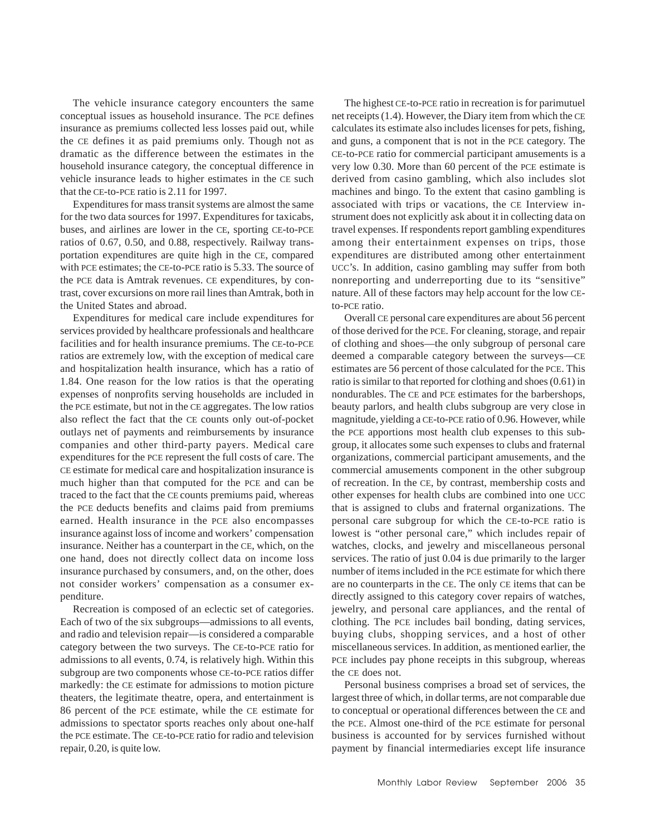The vehicle insurance category encounters the same conceptual issues as household insurance. The PCE defines insurance as premiums collected less losses paid out, while the CE defines it as paid premiums only. Though not as dramatic as the difference between the estimates in the household insurance category, the conceptual difference in vehicle insurance leads to higher estimates in the CE such that the CE-to-PCE ratio is 2.11 for 1997.

Expenditures for mass transit systems are almost the same for the two data sources for 1997. Expenditures for taxicabs, buses, and airlines are lower in the CE, sporting CE-to-PCE ratios of 0.67, 0.50, and 0.88, respectively. Railway transportation expenditures are quite high in the CE, compared with PCE estimates; the CE-to-PCE ratio is 5.33. The source of the PCE data is Amtrak revenues. CE expenditures, by contrast, cover excursions on more rail lines than Amtrak, both in the United States and abroad.

Expenditures for medical care include expenditures for services provided by healthcare professionals and healthcare facilities and for health insurance premiums. The CE-to-PCE ratios are extremely low, with the exception of medical care and hospitalization health insurance, which has a ratio of 1.84. One reason for the low ratios is that the operating expenses of nonprofits serving households are included in the PCE estimate, but not in the CE aggregates. The low ratios also reflect the fact that the CE counts only out-of-pocket outlays net of payments and reimbursements by insurance companies and other third-party payers. Medical care expenditures for the PCE represent the full costs of care. The CE estimate for medical care and hospitalization insurance is much higher than that computed for the PCE and can be traced to the fact that the CE counts premiums paid, whereas the PCE deducts benefits and claims paid from premiums earned. Health insurance in the PCE also encompasses insurance against loss of income and workers' compensation insurance. Neither has a counterpart in the CE, which, on the one hand, does not directly collect data on income loss insurance purchased by consumers, and, on the other, does not consider workers' compensation as a consumer expenditure.

Recreation is composed of an eclectic set of categories. Each of two of the six subgroups—admissions to all events, and radio and television repair—is considered a comparable category between the two surveys. The CE-to-PCE ratio for admissions to all events, 0.74, is relatively high. Within this subgroup are two components whose CE-to-PCE ratios differ markedly: the CE estimate for admissions to motion picture theaters, the legitimate theatre, opera, and entertainment is 86 percent of the PCE estimate, while the CE estimate for admissions to spectator sports reaches only about one-half the PCE estimate. The CE-to-PCE ratio for radio and television repair, 0.20, is quite low.

The highest CE-to-PCE ratio in recreation is for parimutuel net receipts (1.4). However, the Diary item from which the CE calculates its estimate also includes licenses for pets, fishing, and guns, a component that is not in the PCE category. The CE-to-PCE ratio for commercial participant amusements is a very low 0.30. More than 60 percent of the PCE estimate is derived from casino gambling, which also includes slot machines and bingo. To the extent that casino gambling is associated with trips or vacations, the CE Interview instrument does not explicitly ask about it in collecting data on travel expenses. If respondents report gambling expenditures among their entertainment expenses on trips, those expenditures are distributed among other entertainment UCC's. In addition, casino gambling may suffer from both nonreporting and underreporting due to its "sensitive" nature. All of these factors may help account for the low CEto-PCE ratio.

Overall CE personal care expenditures are about 56 percent of those derived for the PCE. For cleaning, storage, and repair of clothing and shoes—the only subgroup of personal care deemed a comparable category between the surveys—CE estimates are 56 percent of those calculated for the PCE. This ratio is similar to that reported for clothing and shoes (0.61) in nondurables. The CE and PCE estimates for the barbershops, beauty parlors, and health clubs subgroup are very close in magnitude, yielding a CE-to-PCE ratio of 0.96. However, while the PCE apportions most health club expenses to this subgroup, it allocates some such expenses to clubs and fraternal organizations, commercial participant amusements, and the commercial amusements component in the other subgroup of recreation. In the CE, by contrast, membership costs and other expenses for health clubs are combined into one UCC that is assigned to clubs and fraternal organizations. The personal care subgroup for which the CE-to-PCE ratio is lowest is "other personal care," which includes repair of watches, clocks, and jewelry and miscellaneous personal services. The ratio of just 0.04 is due primarily to the larger number of items included in the PCE estimate for which there are no counterparts in the CE. The only CE items that can be directly assigned to this category cover repairs of watches, jewelry, and personal care appliances, and the rental of clothing. The PCE includes bail bonding, dating services, buying clubs, shopping services, and a host of other miscellaneous services. In addition, as mentioned earlier, the PCE includes pay phone receipts in this subgroup, whereas the CE does not.

Personal business comprises a broad set of services, the largest three of which, in dollar terms, are not comparable due to conceptual or operational differences between the CE and the PCE. Almost one-third of the PCE estimate for personal business is accounted for by services furnished without payment by financial intermediaries except life insurance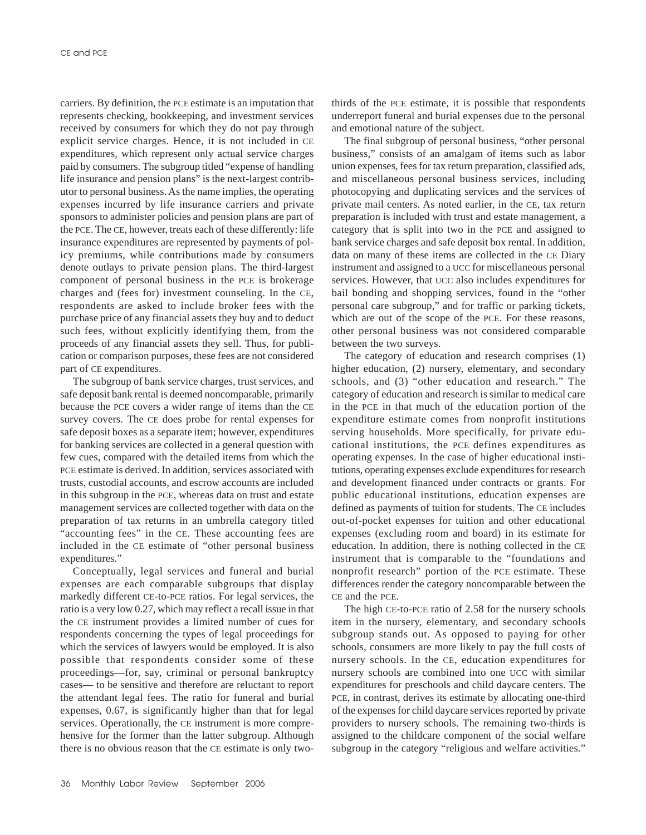carriers. By definition, the PCE estimate is an imputation that represents checking, bookkeeping, and investment services received by consumers for which they do not pay through explicit service charges. Hence, it is not included in CE expenditures, which represent only actual service charges paid by consumers. The subgroup titled "expense of handling life insurance and pension plans" is the next-largest contributor to personal business. As the name implies, the operating expenses incurred by life insurance carriers and private sponsors to administer policies and pension plans are part of the PCE. The CE, however, treats each of these differently: life insurance expenditures are represented by payments of policy premiums, while contributions made by consumers denote outlays to private pension plans. The third-largest component of personal business in the PCE is brokerage charges and (fees for) investment counseling. In the CE, respondents are asked to include broker fees with the purchase price of any financial assets they buy and to deduct such fees, without explicitly identifying them, from the proceeds of any financial assets they sell. Thus, for publication or comparison purposes, these fees are not considered part of CE expenditures.

The subgroup of bank service charges, trust services, and safe deposit bank rental is deemed noncomparable, primarily because the PCE covers a wider range of items than the CE survey covers. The CE does probe for rental expenses for safe deposit boxes as a separate item; however, expenditures for banking services are collected in a general question with few cues, compared with the detailed items from which the PCE estimate is derived. In addition, services associated with trusts, custodial accounts, and escrow accounts are included in this subgroup in the PCE, whereas data on trust and estate management services are collected together with data on the preparation of tax returns in an umbrella category titled "accounting fees" in the CE. These accounting fees are included in the CE estimate of "other personal business expenditures."

Conceptually, legal services and funeral and burial expenses are each comparable subgroups that display markedly different CE-to-PCE ratios. For legal services, the ratio is a very low 0.27, which may reflect a recall issue in that the CE instrument provides a limited number of cues for respondents concerning the types of legal proceedings for which the services of lawyers would be employed. It is also possible that respondents consider some of these proceedings—for, say, criminal or personal bankruptcy cases— to be sensitive and therefore are reluctant to report the attendant legal fees. The ratio for funeral and burial expenses, 0.67, is significantly higher than that for legal services. Operationally, the CE instrument is more comprehensive for the former than the latter subgroup. Although there is no obvious reason that the CE estimate is only twothirds of the PCE estimate, it is possible that respondents underreport funeral and burial expenses due to the personal and emotional nature of the subject.

The final subgroup of personal business, "other personal business," consists of an amalgam of items such as labor union expenses, fees for tax return preparation, classified ads, and miscellaneous personal business services, including photocopying and duplicating services and the services of private mail centers. As noted earlier, in the CE, tax return preparation is included with trust and estate management, a category that is split into two in the PCE and assigned to bank service charges and safe deposit box rental. In addition, data on many of these items are collected in the CE Diary instrument and assigned to a UCC for miscellaneous personal services. However, that UCC also includes expenditures for bail bonding and shopping services, found in the "other personal care subgroup," and for traffic or parking tickets, which are out of the scope of the PCE. For these reasons, other personal business was not considered comparable between the two surveys.

The category of education and research comprises (1) higher education, (2) nursery, elementary, and secondary schools, and (3) "other education and research." The category of education and research is similar to medical care in the PCE in that much of the education portion of the expenditure estimate comes from nonprofit institutions serving households. More specifically, for private educational institutions, the PCE defines expenditures as operating expenses. In the case of higher educational institutions, operating expenses exclude expenditures for research and development financed under contracts or grants. For public educational institutions, education expenses are defined as payments of tuition for students. The CE includes out-of-pocket expenses for tuition and other educational expenses (excluding room and board) in its estimate for education. In addition, there is nothing collected in the CE instrument that is comparable to the "foundations and nonprofit research" portion of the PCE estimate. These differences render the category noncomparable between the CE and the PCE.

The high CE-to-PCE ratio of 2.58 for the nursery schools item in the nursery, elementary, and secondary schools subgroup stands out. As opposed to paying for other schools, consumers are more likely to pay the full costs of nursery schools. In the CE, education expenditures for nursery schools are combined into one UCC with similar expenditures for preschools and child daycare centers. The PCE, in contrast, derives its estimate by allocating one-third of the expenses for child daycare services reported by private providers to nursery schools. The remaining two-thirds is assigned to the childcare component of the social welfare subgroup in the category "religious and welfare activities."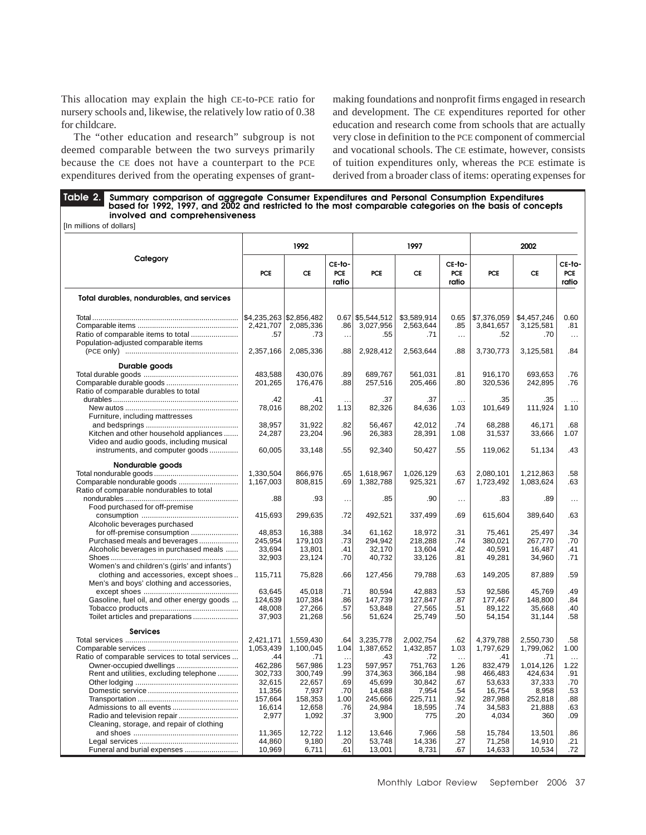This allocation may explain the high CE-to-PCE ratio for nursery schools and, likewise, the relatively low ratio of 0.38 for childcare.

The "other education and research" subgroup is not deemed comparable between the two surveys primarily because the CE does not have a counterpart to the PCE expenditures derived from the operating expenses of grantmaking foundations and nonprofit firms engaged in research and development. The CE expenditures reported for other education and research come from schools that are actually very close in definition to the PCE component of commercial and vocational schools. The CE estimate, however, consists of tuition expenditures only, whereas the PCE estimate is derived from a broader class of items: operating expenses for

Table 2. Summary comparison of aggregate Consumer Expenditures and Personal Consumption Expenditures<br>based for 1992, 1997, and 2002 and restricted to the most comparable categories on the basis of concepts  **involved and comprehensiveness** [In millions of dollars]

|                                                                                        |            | 1992                    |                               |                    | 1997        |                        | 2002        |             |                               |
|----------------------------------------------------------------------------------------|------------|-------------------------|-------------------------------|--------------------|-------------|------------------------|-------------|-------------|-------------------------------|
| Category                                                                               | <b>PCE</b> | CE                      | CE-to-<br><b>PCE</b><br>ratio | <b>PCE</b>         | CE          | CE-to-<br>PCE<br>ratio | <b>PCE</b>  | CE          | CE-to-<br><b>PCE</b><br>ratio |
| Total durables, nondurables, and services                                              |            |                         |                               |                    |             |                        |             |             |                               |
|                                                                                        |            | \$4,235,263 \$2,856,482 |                               | $0.67$ \$5,544,512 | \$3,589,914 | 0.65                   | \$7,376,059 | \$4,457,246 | 0.60                          |
|                                                                                        | 2,421,707  | 2,085,336               | .86 <sub>1</sub>              | 3,027,956          | 2,563,644   | .85                    | 3,841,657   | 3,125,581   | .81                           |
|                                                                                        | .57        | .73                     | $\ddotsc$                     | .55                | .71         | $\ldots$               | .52         | .70         | $\ldots$                      |
| Population-adjusted comparable items                                                   |            |                         |                               |                    |             |                        |             |             |                               |
|                                                                                        | 2,357,166  | 2,085,336               | .88                           | 2,928,412          | 2,563,644   | .88                    | 3,730,773   | 3,125,581   | .84                           |
| Durable goods                                                                          |            |                         |                               |                    |             |                        |             |             |                               |
|                                                                                        | 483,588    | 430,076                 | .89                           | 689,767            | 561,031     | .81                    | 916,170     | 693,653     | .76                           |
|                                                                                        | 201,265    | 176,476                 | .88                           | 257,516            | 205,466     | .80                    | 320,536     | 242,895     | .76                           |
| Ratio of comparable durables to total                                                  |            |                         |                               |                    |             |                        |             |             |                               |
|                                                                                        | .42        | .41                     |                               | .37                | .37         | $\ddotsc$              | .35         | .35         | $\ddotsc$                     |
|                                                                                        | 78,016     | 88,202                  | 1.13                          | 82,326             | 84,636      | 1.03                   | 101,649     | 111,924     | 1.10                          |
| Furniture, including mattresses                                                        |            |                         |                               |                    |             |                        |             |             |                               |
|                                                                                        | 38,957     | 31,922                  | .82                           | 56,467             | 42.012      | .74                    | 68,288      | 46,171      | .68                           |
| Kitchen and other household appliances                                                 | 24,287     | 23,204                  | .96                           | 26,383             | 28,391      | 1.08                   | 31,537      | 33,666      | 1.07                          |
| Video and audio goods, including musical                                               |            |                         |                               |                    |             |                        |             |             |                               |
| instruments, and computer goods                                                        | 60,005     | 33,148                  | .55                           | 92,340             | 50,427      | .55                    | 119,062     | 51,134      | .43                           |
| Nondurable goods                                                                       |            |                         |                               |                    |             |                        |             |             |                               |
|                                                                                        | 1,330,504  | 866,976                 | .65                           | 1,618,967          | 1,026,129   | .63                    | 2,080,101   | 1,212,863   | .58                           |
| Comparable nondurable goods                                                            | 1,167,003  | 808,815                 | .69                           | 1,382,788          | 925,321     | .67                    | 1,723,492   | 1,083,624   | .63                           |
| Ratio of comparable nondurables to total                                               |            |                         |                               |                    |             |                        |             |             |                               |
|                                                                                        | .88        | .93                     | $\ddotsc$                     | .85                | .90         | $\sim$ .               | .83         | .89         | $\cdots$                      |
| Food purchased for off-premise                                                         |            |                         |                               |                    |             |                        |             |             |                               |
|                                                                                        | 415,693    | 299,635                 | .72                           | 492,521            | 337,499     | .69                    | 615,604     | 389,640     | .63                           |
| Alcoholic beverages purchased                                                          |            |                         |                               |                    |             |                        |             |             |                               |
| for off-premise consumption                                                            | 48.853     | 16.388                  | .34                           | 61.162             | 18.972      | .31                    | 75.461      | 25.497      | .34                           |
| Purchased meals and beverages                                                          | 245,954    | 179,103                 | .73                           | 294,942            | 218,288     | .74                    | 380,021     | 267,770     | .70                           |
| Alcoholic beverages in purchased meals                                                 | 33,694     | 13,801                  | .41                           | 32,170             | 13,604      | .42                    | 40,591      | 16,487      | .41                           |
|                                                                                        | 32,903     | 23,124                  | .70                           | 40,732             | 33,126      | .81                    | 49,281      | 34,960      | .71                           |
| Women's and children's (girls' and infants')<br>clothing and accessories, except shoes | 115,711    | 75,828                  | .66                           | 127,456            | 79,788      | .63                    | 149,205     | 87,889      | .59                           |
| Men's and boys' clothing and accessories,                                              |            |                         |                               |                    |             |                        |             |             |                               |
|                                                                                        | 63,645     | 45,018                  | .71                           | 80,594             | 42,883      | .53                    | 92,586      | 45,769      | .49                           |
| Gasoline, fuel oil, and other energy goods                                             | 124,639    | 107,384                 | .86                           | 147,739            | 127,847     | .87                    | 177,467     | 148,800     | .84                           |
|                                                                                        | 48,008     | 27,266                  | .57                           | 53.848             | 27,565      | .51                    | 89.122      | 35.668      | .40                           |
| Toilet articles and preparations                                                       | 37,903     | 21,268                  | .56                           | 51,624             | 25,749      | .50                    | 54,154      | 31,144      | .58                           |
| <b>Services</b>                                                                        |            |                         |                               |                    |             |                        |             |             |                               |
|                                                                                        | 2,421,171  | 1,559,430               | .64                           | 3,235,778          | 2,002,754   | .62                    | 4,379,788   | 2,550,730   | .58                           |
|                                                                                        | 1,053,439  | 1,100,045               | 1.04                          | 1,387,652          | 1,432,857   | 1.03                   | 1,797,629   | 1,799,062   | 1.00                          |
| Ratio of comparable services to total services                                         | .44        | .71                     |                               | .43                | .72         | $\ddotsc$              | .41         | .71         | $\ddotsc$                     |
| Owner-occupied dwellings                                                               | 462,286    | 567.986                 | 1.23                          | 597.957            | 751.763     | 1.26                   | 832.479     | 1,014,126   | 1.22                          |
| Rent and utilities, excluding telephone                                                | 302,733    | 300,749                 | .99                           | 374,363            | 366,184     | .98                    | 466,483     | 424,634     | .91                           |
|                                                                                        | 32,615     | 22,657                  | .69                           | 45,699             | 30,842      | .67                    | 53,633      | 37,333      | .70                           |
|                                                                                        | 11,356     | 7,937                   | .70                           | 14,688             | 7,954       | .54                    | 16,754      | 8,958       | .53                           |
|                                                                                        | 157.664    | 158,353                 | 1.00                          | 245,666            | 225,711     | .92                    | 287.988     | 252.818     | .88                           |
|                                                                                        | 16,614     | 12,658                  | .76                           | 24,984             | 18,595      | .74                    | 34,583      | 21,888      | .63                           |
|                                                                                        | 2,977      | 1,092                   | .37                           | 3,900              | 775         | .20                    | 4,034       | 360         | .09                           |
| Cleaning, storage, and repair of clothing                                              |            |                         |                               |                    |             |                        |             |             |                               |
|                                                                                        | 11,365     | 12,722                  | 1.12                          | 13,646             | 7,966       | .58                    | 15,784      | 13,501      | .86                           |
|                                                                                        | 44,860     | 9,180                   | .20                           | 53,748             | 14,336      | .27                    | 71,258      | 14,910      | .21                           |
| Funeral and burial expenses                                                            | 10,969     | 6,711                   | .61                           | 13,001             | 8,731       | .67                    | 14,633      | 10,534      | .72                           |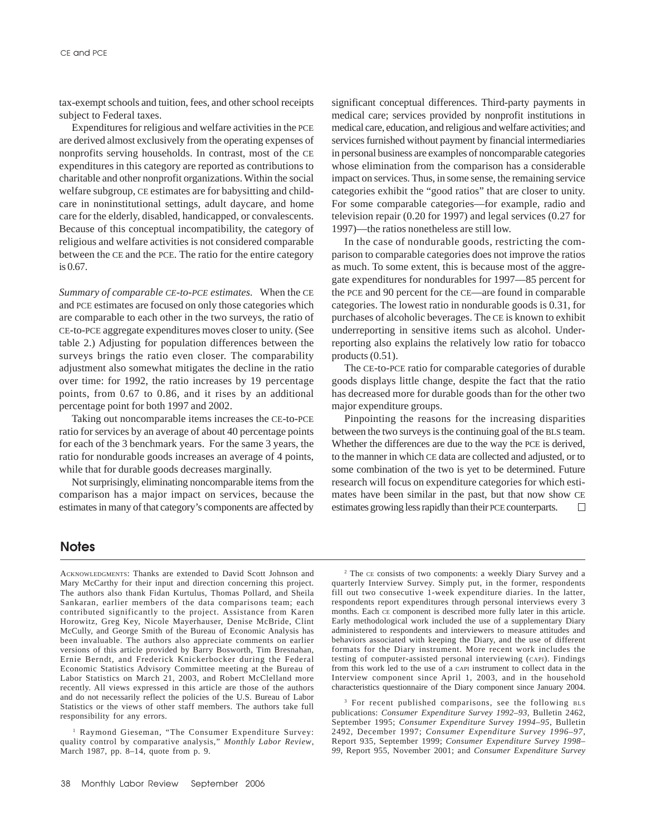tax-exempt schools and tuition, fees, and other school receipts subject to Federal taxes.

Expenditures for religious and welfare activities in the PCE are derived almost exclusively from the operating expenses of nonprofits serving households. In contrast, most of the CE expenditures in this category are reported as contributions to charitable and other nonprofit organizations. Within the social welfare subgroup, CE estimates are for babysitting and childcare in noninstitutional settings, adult daycare, and home care for the elderly, disabled, handicapped, or convalescents. Because of this conceptual incompatibility, the category of religious and welfare activities is not considered comparable between the CE and the PCE. The ratio for the entire category is 0.67.

*Summary of comparable CE-to-PCE estimates.* When the CE and PCE estimates are focused on only those categories which are comparable to each other in the two surveys, the ratio of CE-to-PCE aggregate expenditures moves closer to unity. (See table 2.) Adjusting for population differences between the surveys brings the ratio even closer. The comparability adjustment also somewhat mitigates the decline in the ratio over time: for 1992, the ratio increases by 19 percentage points, from 0.67 to 0.86, and it rises by an additional percentage point for both 1997 and 2002.

Taking out noncomparable items increases the CE-to-PCE ratio for services by an average of about 40 percentage points for each of the 3 benchmark years. For the same 3 years, the ratio for nondurable goods increases an average of 4 points, while that for durable goods decreases marginally.

Not surprisingly, eliminating noncomparable items from the comparison has a major impact on services, because the estimates in many of that category's components are affected by significant conceptual differences. Third-party payments in medical care; services provided by nonprofit institutions in medical care, education, and religious and welfare activities; and services furnished without payment by financial intermediaries in personal business are examples of noncomparable categories whose elimination from the comparison has a considerable impact on services. Thus, in some sense, the remaining service categories exhibit the "good ratios" that are closer to unity. For some comparable categories—for example, radio and television repair (0.20 for 1997) and legal services (0.27 for 1997)—the ratios nonetheless are still low.

In the case of nondurable goods, restricting the comparison to comparable categories does not improve the ratios as much. To some extent, this is because most of the aggregate expenditures for nondurables for 1997—85 percent for the PCE and 90 percent for the CE—are found in comparable categories. The lowest ratio in nondurable goods is 0.31, for purchases of alcoholic beverages. The CE is known to exhibit underreporting in sensitive items such as alcohol. Underreporting also explains the relatively low ratio for tobacco products (0.51).

The CE-to-PCE ratio for comparable categories of durable goods displays little change, despite the fact that the ratio has decreased more for durable goods than for the other two major expenditure groups.

Pinpointing the reasons for the increasing disparities between the two surveys is the continuing goal of the BLS team. Whether the differences are due to the way the PCE is derived, to the manner in which CE data are collected and adjusted, or to some combination of the two is yet to be determined. Future research will focus on expenditure categories for which estimates have been similar in the past, but that now show CE estimates growing less rapidly than their PCE counterparts.  $\Box$ 

## **Notes**

ACKNOWLEDGMENTS: Thanks are extended to David Scott Johnson and Mary McCarthy for their input and direction concerning this project. The authors also thank Fidan Kurtulus, Thomas Pollard, and Sheila Sankaran, earlier members of the data comparisons team; each contributed significantly to the project. Assistance from Karen Horowitz, Greg Key, Nicole Mayerhauser, Denise McBride, Clint McCully, and George Smith of the Bureau of Economic Analysis has been invaluable. The authors also appreciate comments on earlier versions of this article provided by Barry Bosworth, Tim Bresnahan, Ernie Berndt, and Frederick Knickerbocker during the Federal Economic Statistics Advisory Committee meeting at the Bureau of Labor Statistics on March 21, 2003, and Robert McClelland more recently. All views expressed in this article are those of the authors and do not necessarily reflect the policies of the U.S. Bureau of Labor Statistics or the views of other staff members. The authors take full responsibility for any errors.

<sup>1</sup> Raymond Gieseman, "The Consumer Expenditure Survey: quality control by comparative analysis," *Monthly Labor Review*, March 1987, pp. 8–14, quote from p. 9.

2 The CE consists of two components: a weekly Diary Survey and a quarterly Interview Survey. Simply put, in the former, respondents fill out two consecutive 1-week expenditure diaries. In the latter, respondents report expenditures through personal interviews every 3 months. Each CE component is described more fully later in this article. Early methodological work included the use of a supplementary Diary administered to respondents and interviewers to measure attitudes and behaviors associated with keeping the Diary, and the use of different formats for the Diary instrument. More recent work includes the testing of computer-assisted personal interviewing (CAPI). Findings from this work led to the use of a CAPI instrument to collect data in the Interview component since April 1, 2003, and in the household characteristics questionnaire of the Diary component since January 2004.

3 For recent published comparisons, see the following BLS publications: *Consumer Expenditure Survey 1992–93,* Bulletin 2462, September 1995; *Consumer Expenditure Survey 1994–95*, Bulletin 2492, December 1997; *Consumer Expenditure Survey 1996–97*, Report 935, September 1999; *Consumer Expenditure Survey 1998– 99*, Report 955, November 2001; and *Consumer Expenditure Survey*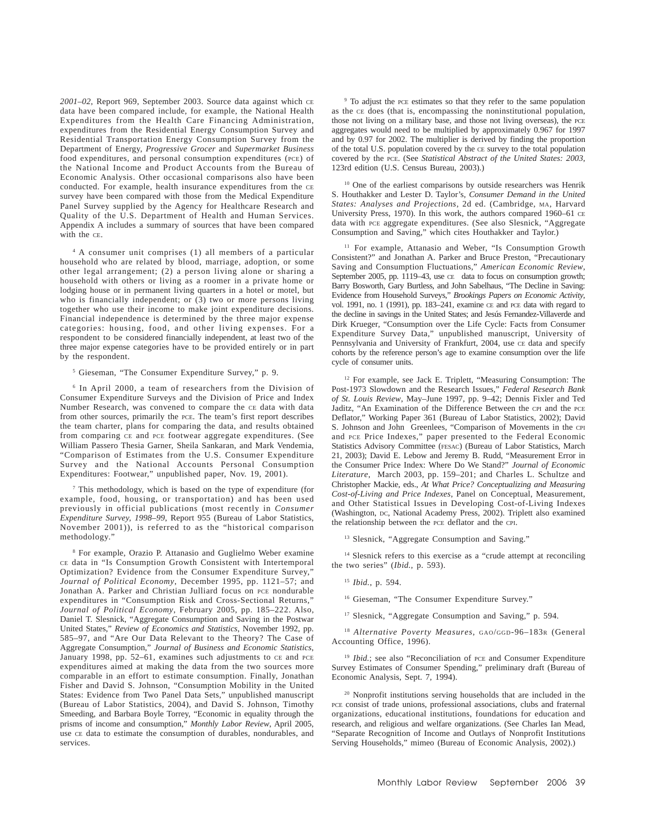*2001–02*, Report 969, September 2003. Source data against which CE data have been compared include, for example, the National Health Expenditures from the Health Care Financing Administration, expenditures from the Residential Energy Consumption Survey and Residential Transportation Energy Consumption Survey from the Department of Energy, *Progressive Grocer* and *Supermarket Business* food expenditures, and personal consumption expenditures (PCE) of the National Income and Product Accounts from the Bureau of Economic Analysis. Other occasional comparisons also have been conducted. For example, health insurance expenditures from the CE survey have been compared with those from the Medical Expenditure Panel Survey supplied by the Agency for Healthcare Research and Quality of the U.S. Department of Health and Human Services. Appendix A includes a summary of sources that have been compared with the CE.

4 A consumer unit comprises (1) all members of a particular household who are related by blood, marriage, adoption, or some other legal arrangement; (2) a person living alone or sharing a household with others or living as a roomer in a private home or lodging house or in permanent living quarters in a hotel or motel, but who is financially independent; or (3) two or more persons living together who use their income to make joint expenditure decisions. Financial independence is determined by the three major expense categories: housing, food, and other living expenses. For a respondent to be considered financially independent, at least two of the three major expense categories have to be provided entirely or in part by the respondent.

### 5 Gieseman, "The Consumer Expenditure Survey," p. 9.

6 In April 2000, a team of researchers from the Division of Consumer Expenditure Surveys and the Division of Price and Index Number Research, was convened to compare the CE data with data from other sources, primarily the PCE. The team's first report describes the team charter, plans for comparing the data, and results obtained from comparing CE and PCE footwear aggregate expenditures. (See William Passero Thesia Garner, Sheila Sankaran, and Mark Vendemia, "Comparison of Estimates from the U.S. Consumer Expenditure Survey and the National Accounts Personal Consumption Expenditures: Footwear," unpublished paper, Nov. 19, 2001).

7 This methodology, which is based on the type of expenditure (for example, food, housing, or transportation) and has been used previously in official publications (most recently in *Consumer Expenditure Survey, 1998–99*, Report 955 (Bureau of Labor Statistics, November 2001)), is referred to as the "historical comparison methodology."

8 For example, Orazio P. Attanasio and Guglielmo Weber examine CE data in "Is Consumption Growth Consistent with Intertemporal Optimization? Evidence from the Consumer Expenditure Survey," *Journal of Political Economy*, December 1995, pp. 1121–57; and Jonathan A. Parker and Christian Julliard focus on PCE nondurable expenditures in "Consumption Risk and Cross-Sectional Returns," *Journal of Political Economy*, February 2005, pp. 185–222. Also, Daniel T. Slesnick, "Aggregate Consumption and Saving in the Postwar United States," *Review of Economics and Statistics*, November 1992, pp. 585–97, and "Are Our Data Relevant to the Theory? The Case of Aggregate Consumption," *Journal of Business and Economic Statistics*, January 1998, pp. 52–61, examines such adjustments to CE and PCE expenditures aimed at making the data from the two sources more comparable in an effort to estimate consumption. Finally, Jonathan Fisher and David S. Johnson, "Consumption Mobility in the United States: Evidence from Two Panel Data Sets," unpublished manuscript (Bureau of Labor Statistics, 2004), and David S. Johnson, Timothy Smeeding, and Barbara Boyle Torrey, "Economic in equality through the prisms of income and consumption," *Monthly Labor Review*, April 2005, use CE data to estimate the consumption of durables, nondurables, and services.

9 To adjust the PCE estimates so that they refer to the same population as the CE does (that is, encompassing the noninstitutional population, those not living on a military base, and those not living overseas), the PCE aggregates would need to be multiplied by approximately 0.967 for 1997 and by 0.97 for 2002. The multiplier is derived by finding the proportion of the total U.S. population covered by the CE survey to the total population covered by the PCE. (See *Statistical Abstract of the United States: 2003*, 123rd edition (U.S. Census Bureau, 2003).)

<sup>10</sup> One of the earliest comparisons by outside researchers was Henrik S. Houthakker and Lester D. Taylor's, *Consumer Demand in the United States: Analyses and Projections*, 2d ed. (Cambridge, MA, Harvard University Press, 1970). In this work, the authors compared 1960–61 CE data with PCE aggregate expenditures. (See also Slesnick, "Aggregate Consumption and Saving," which cites Houthakker and Taylor.)

<sup>11</sup> For example, Attanasio and Weber, "Is Consumption Growth Consistent?" and Jonathan A. Parker and Bruce Preston, "Precautionary Saving and Consumption Fluctuations," *American Economic Review*, September 2005, pp. 1119–43, use  $CE$  data to focus on consumption growth: Barry Bosworth, Gary Burtless, and John Sabelhaus, "The Decline in Saving: Evidence from Household Surveys," *Brookings Papers on Economic Activity*, vol. 1991, no. 1 (1991), pp. 183–241, examine CE and PCE data with regard to the decline in savings in the United States; and Jesús Fernandez-Villaverde and Dirk Krueger, "Consumption over the Life Cycle: Facts from Consumer Expenditure Survey Data," unpublished manuscript, University of Pennsylvania and University of Frankfurt, 2004, use CE data and specify cohorts by the reference person's age to examine consumption over the life cycle of consumer units.

12 For example, see Jack E. Triplett, "Measuring Consumption: The Post-1973 Slowdown and the Research Issues," *Federal Research Bank of St. Louis Review*, May–June 1997, pp. 9–42; Dennis Fixler and Ted Jaditz, "An Examination of the Difference Between the CPI and the PCE Deflator," Working Paper 361 (Bureau of Labor Statistics, 2002); David S. Johnson and John Greenlees, "Comparison of Movements in the CPI and PCE Price Indexes," paper presented to the Federal Economic Statistics Advisory Committee (FESAC) (Bureau of Labor Statistics, March 21, 2003); David E. Lebow and Jeremy B. Rudd, "Measurement Error in the Consumer Price Index: Where Do We Stand?" *Journal of Economic Literature*, March 2003, pp. 159–201; and Charles L. Schultze and Christopher Mackie, eds., *At What Price? Conceptualizing and Measuring Cost-of-Living and Price Indexes*, Panel on Conceptual, Measurement, and Other Statistical Issues in Developing Cost-of-Living Indexes (Washington, DC, National Academy Press, 2002). Triplett also examined the relationship between the PCE deflator and the CPI.

<sup>13</sup> Slesnick, "Aggregate Consumption and Saving."

<sup>14</sup> Slesnick refers to this exercise as a "crude attempt at reconciling the two series" (*Ibid.*, p. 593).

<sup>15</sup> *Ibid.*, p. 594.

16 Gieseman, "The Consumer Expenditure Survey."

<sup>17</sup> Slesnick, "Aggregate Consumption and Saving," p. 594.

<sup>18</sup> *Alternative Poverty Measures*, GAO/GGD-96–183R (General Accounting Office, 1996).

<sup>19</sup> *Ibid.*; see also "Reconciliation of PCE and Consumer Expenditure Survey Estimates of Consumer Spending," preliminary draft (Bureau of Economic Analysis, Sept. 7, 1994).

20 Nonprofit institutions serving households that are included in the PCE consist of trade unions, professional associations, clubs and fraternal organizations, educational institutions, foundations for education and research, and religious and welfare organizations. (See Charles Ian Mead, "Separate Recognition of Income and Outlays of Nonprofit Institutions Serving Households," mimeo (Bureau of Economic Analysis, 2002).)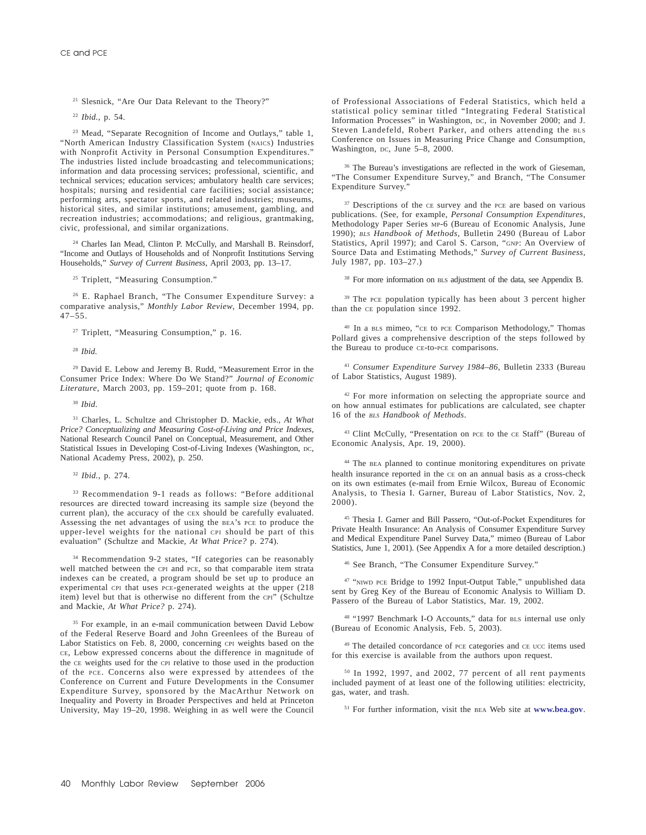21 Slesnick, "Are Our Data Relevant to the Theory?"

<sup>22</sup> *Ibid.*, p. 54.

23 Mead, "Separate Recognition of Income and Outlays," table 1, "North American Industry Classification System (NAICS) Industries with Nonprofit Activity in Personal Consumption Expenditures." The industries listed include broadcasting and telecommunications; information and data processing services; professional, scientific, and technical services; education services; ambulatory health care services; hospitals; nursing and residential care facilities; social assistance; performing arts, spectator sports, and related industries; museums, historical sites, and similar institutions; amusement, gambling, and recreation industries; accommodations; and religious, grantmaking, civic, professional, and similar organizations.

<sup>24</sup> Charles Ian Mead, Clinton P. McCully, and Marshall B. Reinsdorf, "Income and Outlays of Households and of Nonprofit Institutions Serving Households," *Survey of Current Business*, April 2003, pp. 13–17.

<sup>25</sup> Triplett, "Measuring Consumption."

26 E. Raphael Branch, "The Consumer Expenditure Survey: a comparative analysis," *Monthly Labor Review*, December 1994, pp.  $47 - 55$ .

<sup>27</sup> Triplett, "Measuring Consumption," p. 16.

29 David E. Lebow and Jeremy B. Rudd, "Measurement Error in the Consumer Price Index: Where Do We Stand?" *Journal of Economic Literature*, March 2003, pp. 159–201; quote from p. 168.

<sup>30</sup> *Ibid*.

31 Charles, L. Schultze and Christopher D. Mackie, eds., *At What Price? Conceptualizing and Measuring Cost-of-Living and Price Indexes*, National Research Council Panel on Conceptual, Measurement, and Other Statistical Issues in Developing Cost-of-Living Indexes (Washington, DC, National Academy Press, 2002), p. 250.

<sup>32</sup> *Ibid.*, p. 274.

33 Recommendation 9-1 reads as follows: "Before additional resources are directed toward increasing its sample size (beyond the current plan), the accuracy of the CEX should be carefully evaluated. Assessing the net advantages of using the BEA's PCE to produce the upper-level weights for the national CPI should be part of this evaluation" (Schultze and Mackie, *At What Price?* p. 274).

34 Recommendation 9-2 states, "If categories can be reasonably well matched between the CPI and PCE, so that comparable item strata indexes can be created, a program should be set up to produce an experimental CPI that uses PCE-generated weights at the upper (218 item) level but that is otherwise no different from the CPI" (Schultze and Mackie, *At What Price?* p. 274).

<sup>35</sup> For example, in an e-mail communication between David Lebow of the Federal Reserve Board and John Greenlees of the Bureau of Labor Statistics on Feb. 8, 2000, concerning CPI weights based on the CE, Lebow expressed concerns about the difference in magnitude of the CE weights used for the CPI relative to those used in the production of the PCE. Concerns also were expressed by attendees of the Conference on Current and Future Developments in the Consumer Expenditure Survey, sponsored by the MacArthur Network on Inequality and Poverty in Broader Perspectives and held at Princeton University, May 19–20, 1998. Weighing in as well were the Council

of Professional Associations of Federal Statistics, which held a statistical policy seminar titled "Integrating Federal Statistical Information Processes" in Washington, DC, in November 2000; and J. Steven Landefeld, Robert Parker, and others attending the BLS Conference on Issues in Measuring Price Change and Consumption, Washington, DC, June 5–8, 2000.

<sup>36</sup> The Bureau's investigations are reflected in the work of Gieseman, "The Consumer Expenditure Survey," and Branch, "The Consumer Expenditure Survey.'

<sup>37</sup> Descriptions of the CE survey and the PCE are based on various publications. (See, for example, *Personal Consumption Expenditures*, Methodology Paper Series MP-6 (Bureau of Economic Analysis, June 1990); *BLS Handbook of Methods*, Bulletin 2490 (Bureau of Labor Statistics, April 1997); and Carol S. Carson, "GNP: An Overview of Source Data and Estimating Methods," *Survey of Current Business,* July 1987, pp. 103–27.)

<sup>38</sup> For more information on BLS adjustment of the data, see Appendix B.

<sup>39</sup> The PCE population typically has been about 3 percent higher than the CE population since 1992.

<sup>40</sup> In a BLS mimeo, "CE to PCE Comparison Methodology," Thomas Pollard gives a comprehensive description of the steps followed by the Bureau to produce CE-to-PCE comparisons.

<sup>41</sup> *Consumer Expenditure Survey 1984–86*, Bulletin 2333 (Bureau of Labor Statistics, August 1989).

<sup>42</sup> For more information on selecting the appropriate source and on how annual estimates for publications are calculated, see chapter 16 of the *BLS Handbook of Methods*.

43 Clint McCully, "Presentation on PCE to the CE Staff" (Bureau of Economic Analysis, Apr. 19, 2000).

44 The BEA planned to continue monitoring expenditures on private health insurance reported in the CE on an annual basis as a cross-check on its own estimates (e-mail from Ernie Wilcox, Bureau of Economic Analysis, to Thesia I. Garner, Bureau of Labor Statistics, Nov. 2, 2000).

45 Thesia I. Garner and Bill Passero, "Out-of-Pocket Expenditures for Private Health Insurance: An Analysis of Consumer Expenditure Survey and Medical Expenditure Panel Survey Data," mimeo (Bureau of Labor Statistics, June 1, 2001). (See Appendix A for a more detailed description.)

46 See Branch, "The Consumer Expenditure Survey."

<sup>47</sup> "NIWD PCE Bridge to 1992 Input-Output Table," unpublished data sent by Greg Key of the Bureau of Economic Analysis to William D. Passero of the Bureau of Labor Statistics, Mar. 19, 2002.

48 "1997 Benchmark I-O Accounts," data for BLS internal use only (Bureau of Economic Analysis, Feb. 5, 2003).

49 The detailed concordance of PCE categories and CE UCC items used for this exercise is available from the authors upon request.

50 In 1992, 1997, and 2002, 77 percent of all rent payments included payment of at least one of the following utilities: electricity, gas, water, and trash.

51 For further information, visit the BEA Web site at **www.bea.gov**.

<sup>28</sup> *Ibid.*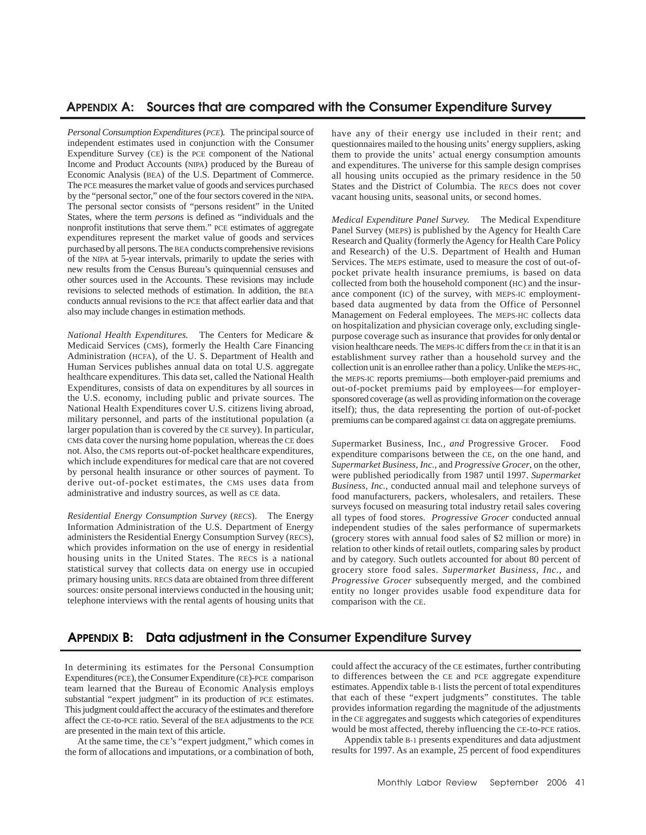## **APPENDIX A: APPENDIX A: Sources that are compared with the Consumer Expenditure Survey**

*Personal Consumption Expenditures* (*PCE*)*.* The principal source of independent estimates used in conjunction with the Consumer Expenditure Survey (CE) is the PCE component of the National Income and Product Accounts (NIPA) produced by the Bureau of Economic Analysis (BEA) of the U.S. Department of Commerce. The PCE measures the market value of goods and services purchased by the "personal sector," one of the four sectors covered in the NIPA. The personal sector consists of "persons resident" in the United States, where the term *persons* is defined as "individuals and the nonprofit institutions that serve them." PCE estimates of aggregate expenditures represent the market value of goods and services purchased by all persons. The BEA conducts comprehensive revisions of the NIPA at 5-year intervals, primarily to update the series with new results from the Census Bureau's quinquennial censuses and other sources used in the Accounts. These revisions may include revisions to selected methods of estimation. In addition, the BEA conducts annual revisions to the PCE that affect earlier data and that also may include changes in estimation methods.

*National Health Expenditures.* The Centers for Medicare & Medicaid Services (CMS), formerly the Health Care Financing Administration (HCFA), of the U. S. Department of Health and Human Services publishes annual data on total U.S. aggregate healthcare expenditures. This data set, called the National Health Expenditures, consists of data on expenditures by all sources in the U.S. economy, including public and private sources. The National Health Expenditures cover U.S. citizens living abroad, military personnel, and parts of the institutional population (a larger population than is covered by the CE survey). In particular, CMS data cover the nursing home population, whereas the CE does not. Also, the CMS reports out-of-pocket healthcare expenditures, which include expenditures for medical care that are not covered by personal health insurance or other sources of payment. To derive out-of-pocket estimates, the CMS uses data from administrative and industry sources, as well as CE data.

*Residential Energy Consumption Survey* (*RECS*). The Energy Information Administration of the U.S. Department of Energy administers the Residential Energy Consumption Survey (RECS), which provides information on the use of energy in residential housing units in the United States. The RECS is a national statistical survey that collects data on energy use in occupied primary housing units. RECS data are obtained from three different sources: onsite personal interviews conducted in the housing unit; telephone interviews with the rental agents of housing units that

have any of their energy use included in their rent; and questionnaires mailed to the housing units' energy suppliers, asking them to provide the units' actual energy consumption amounts and expenditures. The universe for this sample design comprises all housing units occupied as the primary residence in the 50 States and the District of Columbia. The RECS does not cover vacant housing units, seasonal units, or second homes.

*Medical Expenditure Panel Survey.* The Medical Expenditure Panel Survey (MEPS) is published by the Agency for Health Care Research and Quality (formerly the Agency for Health Care Policy and Research) of the U.S. Department of Health and Human Services. The MEPS estimate, used to measure the cost of out-ofpocket private health insurance premiums, is based on data collected from both the household component (HC) and the insurance component (IC) of the survey, with MEPS-IC employmentbased data augmented by data from the Office of Personnel Management on Federal employees. The MEPS-HC collects data on hospitalization and physician coverage only, excluding singlepurpose coverage such as insurance that provides for only dental or vision healthcare needs. The MEPS-IC differs from the CE in that it is an establishment survey rather than a household survey and the collection unit is an enrollee rather than a policy. Unlike the MEPS-HC, the MEPS-IC reports premiums—both employer-paid premiums and out-of-pocket premiums paid by employees—for employersponsored coverage (as well as providing information on the coverage itself); thus, the data representing the portion of out-of-pocket premiums can be compared against CE data on aggregate premiums.

*S*upermarket Business, Inc*., and* Progressive Grocer*.* Food expenditure comparisons between the CE, on the one hand, and *Supermarket Business, Inc.*, and *Progressive Grocer*, on the other, were published periodically from 1987 until 1997. *Supermarket Business, Inc.*, conducted annual mail and telephone surveys of food manufacturers, packers, wholesalers, and retailers. These surveys focused on measuring total industry retail sales covering all types of food stores. *Progressive Grocer* conducted annual independent studies of the sales performance of supermarkets (grocery stores with annual food sales of \$2 million or more) in relation to other kinds of retail outlets, comparing sales by product and by category. Such outlets accounted for about 80 percent of grocery store food sales. *Supermarket Business, Inc.*, and *Progressive Grocer* subsequently merged, and the combined entity no longer provides usable food expenditure data for comparison with the CE.

## **APPENDIX B: Data adjustment in the Consumer Expenditure Survey**

In determining its estimates for the Personal Consumption Expenditures (PCE), the Consumer Expenditure (CE)-PCE comparison team learned that the Bureau of Economic Analysis employs substantial "expert judgment" in its production of PCE estimates. This judgment could affect the accuracy of the estimates and therefore affect the CE-to-PCE ratio. Several of the BEA adjustments to the PCE are presented in the main text of this article.

At the same time, the CE's "expert judgment," which comes in the form of allocations and imputations, or a combination of both,

could affect the accuracy of the CE estimates, further contributing to differences between the CE and PCE aggregate expenditure estimates. Appendix table B-1 lists the percent of total expenditures that each of these "expert judgments" constitutes. The table provides information regarding the magnitude of the adjustments in the CE aggregates and suggests which categories of expenditures would be most affected, thereby influencing the CE-to-PCE ratios.

Appendix table B-1 presents expenditures and data adjustment results for 1997. As an example, 25 percent of food expenditures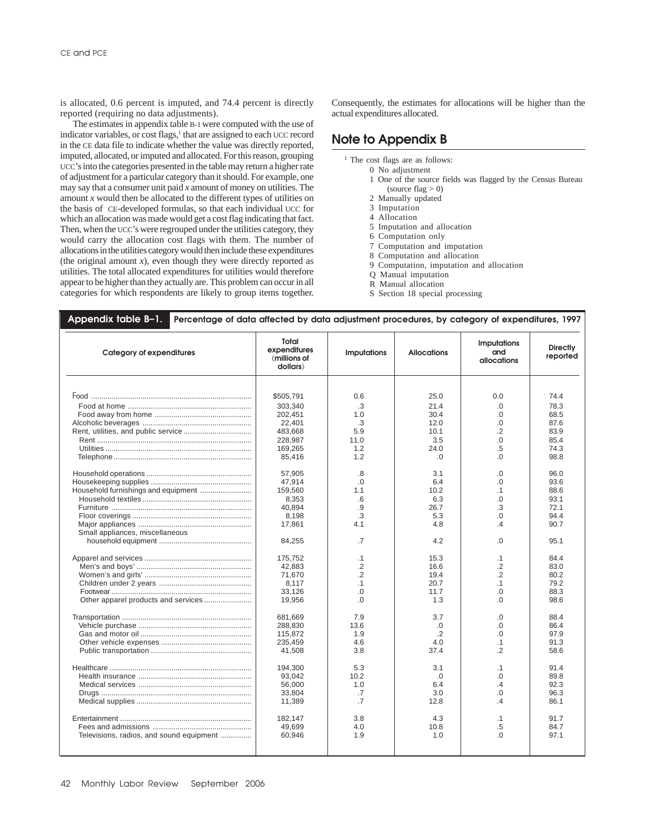is allocated, 0.6 percent is imputed, and 74.4 percent is directly reported (requiring no data adjustments).

The estimates in appendix table B-1 were computed with the use of indicator variables, or cost flags,<sup>1</sup> that are assigned to each UCC record in the CE data file to indicate whether the value was directly reported, imputed, allocated, or imputed and allocated. For this reason, grouping UCC's into the categories presented in the table may return a higher rate of adjustment for a particular category than it should. For example, one may say that a consumer unit paid *x* amount of money on utilities. The amount *x* would then be allocated to the different types of utilities on the basis of CE-developed formulas, so that each individual UCC for which an allocation was made would get a cost flag indicating that fact. Then, when the UCC's were regrouped under the utilities category, they would carry the allocation cost flags with them. The number of allocations in the utilities category would then include these expenditures (the original amount  $x$ ), even though they were directly reported as utilities. The total allocated expenditures for utilities would therefore appear to be higher than they actually are. This problem can occur in all categories for which respondents are likely to group items together.

Consequently, the estimates for allocations will be higher than the actual expenditures allocated.

## **Note to Appendix B**

- <sup>1</sup> The cost flags are as follows:
	- 0 No adjustment
	- 1 One of the source fields was flagged by the Census Bureau (source flag  $> 0$ )
	- 2 Manually updated
	- 3 Imputation
	- 4 Allocation
	- 5 Imputation and allocation
	- 6 Computation only
	- 7 Computation and imputation
	- 8 Computation and allocation
	- 9 Computation, imputation and allocation
	- Q Manual imputation
	- R Manual allocation
	- S Section 18 special processing

| <b>Category of expenditures</b>          | Total<br>expenditures<br>(millions of<br>dollars) | <b>Imputations</b> | <b>Allocations</b> | <b>Imputations</b><br>and<br>allocations | <b>Directly</b><br>reported |
|------------------------------------------|---------------------------------------------------|--------------------|--------------------|------------------------------------------|-----------------------------|
|                                          |                                                   |                    | 25.0               |                                          | 74.4                        |
|                                          | \$505,791                                         | 0.6                |                    | 0.0                                      |                             |
|                                          | 303.340                                           | .3                 | 21.4               | $\Omega$                                 | 78.3                        |
|                                          | 202,451                                           | 1.0                | 30.4               | 0.                                       | 68.5                        |
|                                          | 22.401                                            | .3                 | 12.0               | 0.                                       | 87.6                        |
|                                          | 483.668                                           | 5.9                | 10.1               | $\cdot$ .2                               | 83.9                        |
|                                          | 228,987                                           | 11.0               | 3.5                | .0                                       | 85.4                        |
|                                          | 169,265                                           | 1.2                | 24.0               | .5                                       | 74.3                        |
|                                          | 85,416                                            | 1.2                | $\Omega$           | $\Omega$ .                               | 98.8                        |
|                                          | 57.905                                            | .8                 | 3.1                | 0.                                       | 96.0                        |
|                                          | 47.914                                            | $\Omega$           | 6.4                | $\Omega$                                 | 93.6                        |
| Household furnishings and equipment      | 159,560                                           | 1.1                | 10.2               | $\cdot$ 1                                | 88.6                        |
|                                          | 8,353                                             | .6                 | 6.3                | 0.                                       | 93.1                        |
|                                          | 40.894                                            | .9                 | 26.7               | .3                                       | 72.1                        |
|                                          | 8,198                                             | .3                 | 5.3                | .0                                       | 94.4                        |
|                                          | 17,861                                            | 4.1                | 4.8                | $\overline{A}$                           | 90.7                        |
| Small appliances, miscellaneous          |                                                   |                    |                    |                                          |                             |
|                                          | 84,255                                            | .7                 | 4.2                | 0.                                       | 95.1                        |
|                                          | 175,752                                           | $\cdot$ 1          | 15.3               | $\cdot$ 1                                | 84.4                        |
|                                          | 42,883                                            | $\cdot$            | 16.6               | $\cdot$ .2                               | 83.0                        |
|                                          | 71.670                                            | $\overline{2}$     | 19.4               | $\cdot$ .2                               | 80.2                        |
|                                          | 8,117                                             | $\cdot$ 1          | 20.7               | $\cdot$ 1                                | 79.2                        |
|                                          | 33,126                                            | 0.                 | 11.7               | .0                                       | 88.3                        |
| Other apparel products and services      | 19,956                                            | $\Omega$           | 1.3                | $\Omega$                                 | 98.6                        |
|                                          | 681,669                                           | 7.9                | 3.7                | 0.                                       | 88.4                        |
|                                          | 288.830                                           | 13.6               | .0                 | 0.                                       | 86.4                        |
|                                          | 115,872                                           | 1.9                | .2                 | 0.                                       | 97.9                        |
|                                          | 235.459                                           | 4.6                | 4.0                | $\cdot$ 1                                | 91.3                        |
|                                          | 41.508                                            | 3.8                | 37.4               | .2                                       | 58.6                        |
|                                          | 194.300                                           | 5.3                | 3.1                | $\cdot$ 1                                | 91.4                        |
|                                          | 93.042                                            | 10.2               | .0                 | 0.                                       | 89.8                        |
|                                          | 56,000                                            | 1.0                | 6.4                | .4                                       | 92.3                        |
|                                          | 33,804                                            | .7                 | 3.0                | .0                                       | 96.3                        |
|                                          | 11,389                                            | .7                 | 12.8               | .4                                       | 86.1                        |
|                                          | 182,147                                           | 3.8                | 4.3                | $\cdot$ 1                                | 91.7                        |
|                                          | 49,699                                            | 4.0                | 10.8               | .5                                       | 84.7                        |
| Televisions, radios, and sound equipment | 60,946                                            | 1.9                | 1.0                | 0.0                                      | 97.1                        |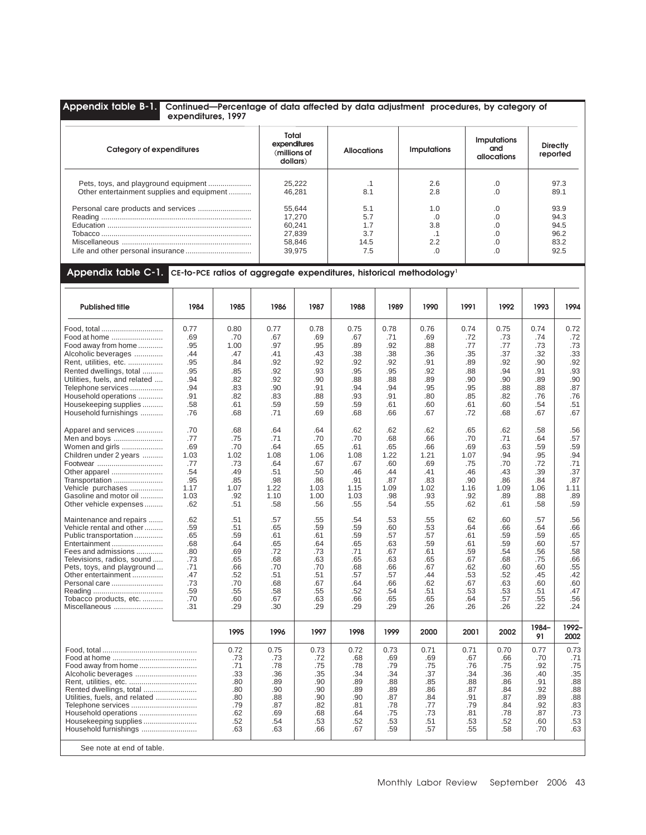## **Appendix table B-1. Continued—Percentage of data affected by data adjustment procedures, by category of expenditures, 1997**

| Category of expenditures                   | Total<br>expenditures<br>(millions of<br>dollars) | <b>Allocations</b> | <b>Imputations</b> | <b>Imputations</b><br>and<br>allocations | <b>Directly</b><br>reported |
|--------------------------------------------|---------------------------------------------------|--------------------|--------------------|------------------------------------------|-----------------------------|
|                                            | 25,222                                            |                    | 2.6                | .0                                       | 97.3                        |
| Other entertainment supplies and equipment | 46.281                                            | 8.1                | 2.8                | .0                                       | 89.1                        |
|                                            | 55,644                                            | 5.1                | 1.0                | .0                                       | 93.9                        |
|                                            | 17.270                                            | 5.7                |                    | .0                                       | 94.3                        |
|                                            | 60.241                                            |                    | 3.8                | .0                                       | 94.5                        |
|                                            | 27.839                                            | 3.7                | . .                | .0                                       | 96.2                        |
|                                            | 58.846                                            | 14.5               | 2.2                | .0                                       | 83.2                        |
|                                            | 39.975                                            | 7.5                |                    | 0.0                                      | 92.5                        |

## **Appendix table C-1. CE-to-PCE ratios of aggregate expenditures, historical methodology1**

| <b>Published title</b>        | 1984 | 1985 | 1986 | 1987 | 1988 | 1989 | 1990 | 1991 | 1992 | 1993        | 1994          |
|-------------------------------|------|------|------|------|------|------|------|------|------|-------------|---------------|
| Food, total                   | 0.77 | 0.80 | 0.77 | 0.78 | 0.75 | 0.78 | 0.76 | 0.74 | 0.75 | 0.74        | 0.72          |
| Food at home                  | .69  | .70  | .67  | .69  | .67  | .71  | .69  | .72  | .73  | .74         | .72           |
| Food away from home           | .95  | 1.00 | .97  | .95  | .89  | .92  | .88  | .77  | .77  | .73         | .73           |
| Alcoholic beverages           | .44  | .47  | .41  | .43  | .38  | .38  | .36  | .35  | .37  | .32         | .33           |
| Rent, utilities, etc.         | .95  | .84  | .92  | .92  | .92  | .92  | .91  | .89  | .92  | .90         | .92           |
| Rented dwellings, total       | .95  | .85  | .92  | .93  | .95  | .95  | .92  | .88  | .94  | .91         | .93           |
| Utilities, fuels, and related | .94  | .82  | .92  | .90  | .88  | .88  | .89  | .90  | .90  | .89         | .90           |
| Telephone services            | .94  | .83  | .90  | .91  | .94  | .94  | .95  | .95  | .88  | .88         | .87           |
| Household operations          | .91  | .82  | .83  | .88  | .93  | .91  | .80  | .85  | .82  | .76         | .76           |
| Housekeeping supplies         | .58  | .61  | .59  | .59  | .59  | .61  | .60  | .61  | .60  | .54         | .51           |
| Household furnishings         | .76  | .68  | .71  | .69  | .68  | .66  | .67  | .72  | .68  | .67         | .67           |
| Apparel and services          | .70  | .68  | .64  | .64  | .62  | .62  | .62  | .65  | .62  | .58         | .56           |
| Men and boys                  | .77  | .75  | .71  | .70  | .70  | .68  | .66  | .70  | .71  | .64         | .57           |
| Women and girls               | .69  | .70  | .64  | .65  | .61  | .65  | .66  | .69  | .63  | .59         | .59           |
| Children under 2 years        | 1.03 | 1.02 | 1.08 | 1.06 | 1.08 | 1.22 | 1.21 | 1.07 | .94  | .95         | .94           |
| Footwear                      | .77  | .73  | .64  | .67  | .67  | .60  | .69  | .75  | .70  | .72         | .71           |
| Other apparel                 | .54  | .49  | .51  | .50  | .46  | .44  | .41  | .46  | .43  | .39         | .37           |
| Transportation                | .95  | .85  | .98  | .86  | .91  | .87  | .83  | .90  | .86  | .84         | .87           |
| Vehicle purchases             | 1.17 | 1.07 | 1.22 | 1.03 | 1.15 | 1.09 | 1.02 | 1.16 | 1.09 | 1.06        | 1.11          |
| Gasoline and motor oil        | 1.03 | .92  | 1.10 | 1.00 | 1.03 | .98  | .93  | .92  | .89  | .88         | .89           |
| Other vehicle expenses        | .62  | .51  | .58  | .56  | .55  | .54  | .55  | .62  | .61  | .58         | .59           |
| Maintenance and repairs       | .62  | .51  | .57  | .55  | .54  | .53  | .55  | 62   | .60  | .57         | .56           |
| Vehicle rental and other      | .59  | .51  | .65  | .59  | .59  | .60  | .53  | .64  | .66  | .64         | .66           |
| Public transportation         | .65  | .59  | .61  | .61  | .59  | .57  | .57  | .61  | .59  | .59         | .65           |
| Entertainment                 | .68  | .64  | .65  | .64  | .65  | .63  | .59  | .61  | .59  | .60         | .57           |
| Fees and admissions           | .80  | .69  | .72  | .73  | .71  | .67  | .61  | .59  | .54  | .56         | .58           |
| Televisions, radios, sound    | .73  | .65  | .68  | .63  | .65  | .63  | .65  | .67  | .68  | .75         | .66           |
| Pets, toys, and playground    | .71  | .66  | .70  | .70  | .68  | .66  | .67  | .62  | .60  | .60         | .55           |
| Other entertainment           | .47  | .52  | .51  | .51  | .57  | .57  | .44  | .53  | .52  | .45         | .42           |
| Personal care                 | .73  | .70  | .68  | .67  | .64  | .66  | .62  | .67  | .63  | .60         | .60           |
|                               | .59  | .55  | .58  | .55  | .52  | .54  | .51  | .53  | .53  | .51         | .47           |
| Tobacco products, etc         | .70  | .60  | .67  | .63  | .66  | .65  | .65  | .64  | .57  | .55         | .56           |
| Miscellaneous                 | .31  | .29  | .30  | .29  | .29  | .29  | .26  | .26  | .26  | .22         | .24           |
|                               |      | 1995 | 1996 | 1997 | 1998 | 1999 | 2000 | 2001 | 2002 | 1984-<br>91 | 1992-<br>2002 |
|                               |      | 0.72 | 0.75 | 0.73 | 0.72 | 0.73 | 0.71 | 0.71 | 0.70 | 0.77        | 0.73          |
|                               |      | .73  | .73  | .72  | .68  | .69  | .69  | .67  | .66  | .70         | .71           |
|                               |      | .71  | .78  | .75  | .78  | .79  | .75  | .76  | .75  | .92         | .75           |
| Alcoholic beverages           |      | .33  | .36  | .35  | .34  | .34  | .37  | .34  | .36  | .40         | .35           |
|                               |      | .80  | .89  | .90  | .89  | .88  | .85  | .88  | .86  | .91         | .88           |
|                               |      | .80  | .90  | .90  | .89  | .89  | .86  | .87  | .84  | .92         | .88           |
| Utilities, fuels, and related |      | .80  | .88  | .90  | .90  | .87  | .84  | .91  | .87  | .89         | .88           |
| Telephone services            |      | .79  | .87  | .82  | .81  | .78  | .77  | .79  | .84  | .92         | .83           |
| Household operations          |      | .62  | .69  | .68  | .64  | .75  | .73  | .81  | .78  | .87         | .73           |
|                               |      | .52  | .54  | .53  | .52  | .53  | .51  | .53  | .52  | .60         | .53           |
| Household furnishings         |      | .63  | .63  | .66  | .67  | .59  | .57  | .55  | .58  | .70         | .63           |
| See note at end of table.     |      |      |      |      |      |      |      |      |      |             |               |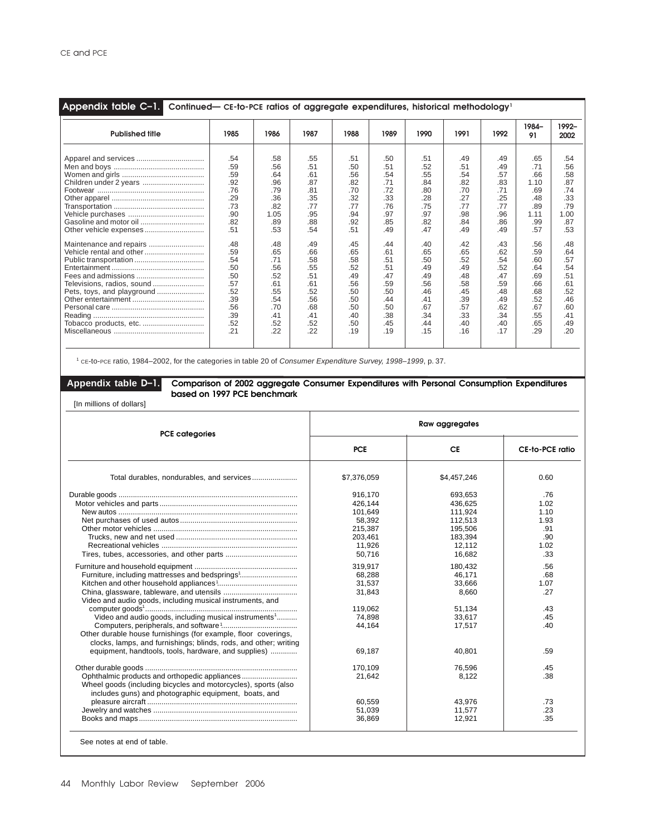| Appendix table C-1.<br>Continued— CE-to-PCE ratios of aggregate expenditures, historical methodology <sup>1</sup>                                                                                                     |                                                                                                                                                        |                                                                                                                                                         |                                                                                                                                                        |                                                                                                                                                        |                                                                                                                                                        |                                                                                                                                                        |                                                                                                                                                        |                                                                                                                                                        |                                                                                                                                                          |                                                                                                                                                         |
|-----------------------------------------------------------------------------------------------------------------------------------------------------------------------------------------------------------------------|--------------------------------------------------------------------------------------------------------------------------------------------------------|---------------------------------------------------------------------------------------------------------------------------------------------------------|--------------------------------------------------------------------------------------------------------------------------------------------------------|--------------------------------------------------------------------------------------------------------------------------------------------------------|--------------------------------------------------------------------------------------------------------------------------------------------------------|--------------------------------------------------------------------------------------------------------------------------------------------------------|--------------------------------------------------------------------------------------------------------------------------------------------------------|--------------------------------------------------------------------------------------------------------------------------------------------------------|----------------------------------------------------------------------------------------------------------------------------------------------------------|---------------------------------------------------------------------------------------------------------------------------------------------------------|
| <b>Published title</b>                                                                                                                                                                                                | 1985                                                                                                                                                   | 1986                                                                                                                                                    | 1987                                                                                                                                                   | 1988                                                                                                                                                   | 1989                                                                                                                                                   | 1990                                                                                                                                                   | 1991                                                                                                                                                   | 1992                                                                                                                                                   | 1984-<br>91                                                                                                                                              | 1992-<br>2002                                                                                                                                           |
| Apparel and services<br>Children under 2 years<br>Other vehicle expenses<br>Maintenance and repairs<br>Vehicle rental and other<br>Televisions, radios, sound<br>Pets, toys, and playground<br>Tobacco products, etc. | .54<br>.59<br>.59<br>.92<br>.76<br>.29<br>.73<br>.90<br>.82<br>.51<br>.48<br>.59<br>.54<br>.50<br>.50<br>.57<br>.52<br>.39<br>.56<br>.39<br>.52<br>.21 | .58<br>.56<br>.64<br>.96<br>.79<br>.36<br>.82<br>1.05<br>.89<br>.53<br>.48<br>.65<br>.71<br>.56<br>.52<br>.61<br>.55<br>.54<br>.70<br>.41<br>.52<br>.22 | .55<br>.51<br>.61<br>.87<br>.81<br>.35<br>.77<br>.95<br>.88<br>.54<br>.49<br>.66<br>.58<br>.55<br>.51<br>.61<br>.52<br>.56<br>.68<br>.41<br>.52<br>.22 | .51<br>.50<br>.56<br>.82<br>.70<br>.32<br>.77<br>.94<br>.92<br>.51<br>.45<br>.65<br>.58<br>.52<br>.49<br>.56<br>.50<br>.50<br>.50<br>.40<br>.50<br>.19 | .50<br>.51<br>.54<br>.71<br>.72<br>.33<br>.76<br>.97<br>.85<br>.49<br>.44<br>.61<br>.51<br>.51<br>.47<br>.59<br>.50<br>.44<br>.50<br>.38<br>.45<br>.19 | .51<br>.52<br>.55<br>.84<br>.80<br>.28<br>.75<br>.97<br>.82<br>.47<br>.40<br>.65<br>.50<br>.49<br>.49<br>.56<br>.46<br>.41<br>.67<br>.34<br>.44<br>.15 | .49<br>.51<br>.54<br>.82<br>.70<br>.27<br>.77<br>.98<br>.84<br>.49<br>.42<br>.65<br>.52<br>.49<br>.48<br>.58<br>.45<br>.39<br>.57<br>.33<br>.40<br>.16 | .49<br>.49<br>.57<br>.83<br>.71<br>.25<br>.77<br>.96<br>.86<br>.49<br>.43<br>.62<br>.54<br>.52<br>.47<br>.59<br>.48<br>.49<br>.62<br>.34<br>.40<br>.17 | .65<br>.71<br>.66<br>1.10<br>.69<br>.48<br>.89<br>1.11<br>.99<br>.57<br>.56<br>.59<br>.60<br>.64<br>.69<br>.66<br>.68<br>.52<br>.67<br>.55<br>.65<br>.29 | .54<br>.56<br>.58<br>.87<br>.74<br>.33<br>.79<br>1.00<br>.87<br>.53<br>.48<br>.64<br>.57<br>.54<br>.51<br>.61<br>.52<br>.46<br>.60<br>.41<br>.49<br>.20 |

<sup>1</sup> CE-to-PCE ratio, 1984–2002, for the categories in table 20 of *Consumer Expenditure Survey, 1998–1999*, p. 37.

## **Appendix table D–1. Comparison of 2002 aggregate Consumer Expenditures with Personal Consumption Expenditures based on 1997 PCE benchmark**

[In millions of dollars]

| <b>PCE categories</b>                                             |             | Raw aggregates |                 |
|-------------------------------------------------------------------|-------------|----------------|-----------------|
|                                                                   | <b>PCE</b>  | <b>CE</b>      | CE-to-PCE ratio |
|                                                                   | \$7,376,059 | \$4,457,246    | 0.60            |
|                                                                   | 916.170     | 693.653        | .76             |
|                                                                   | 426.144     | 436.625        | 1.02            |
|                                                                   | 101,649     | 111,924        | 1.10            |
|                                                                   | 58,392      | 112,513        | 1.93            |
|                                                                   | 215,387     | 195,506        | .91             |
|                                                                   | 203,461     | 183,394        | .90             |
|                                                                   | 11,926      | 12.112         | 1.02            |
|                                                                   | 50,716      | 16,682         | .33             |
|                                                                   | 319,917     | 180,432        | .56             |
| Furniture, including mattresses and bedsprings <sup>1</sup>       | 68,288      | 46,171         | .68             |
|                                                                   | 31,537      | 33,666         | 1.07            |
|                                                                   | 31,843      | 8,660          | .27             |
| Video and audio goods, including musical instruments, and         |             |                |                 |
|                                                                   | 119.062     | 51,134         | .43             |
| Video and audio goods, including musical instruments <sup>1</sup> | 74,898      | 33,617         | .45             |
|                                                                   | 44,164      | 17,517         | .40             |
| Other durable house furnishings (for example, floor coverings,    |             |                |                 |
| clocks, lamps, and furnishings; blinds, rods, and other; writing  |             |                |                 |
| equipment, handtools, tools, hardware, and supplies)              | 69,187      | 40,801         | .59             |
|                                                                   | 170,109     | 76,596         | .45             |
|                                                                   | 21,642      | 8,122          | .38             |
| Wheel goods (including bicycles and motorcycles), sports (also    |             |                |                 |
| includes guns) and photographic equipment, boats, and             |             |                |                 |
|                                                                   | 60,559      | 43,976         | .73             |
|                                                                   | 51,039      | 11.577         | .23             |
|                                                                   | 36,869      | 12,921         | .35             |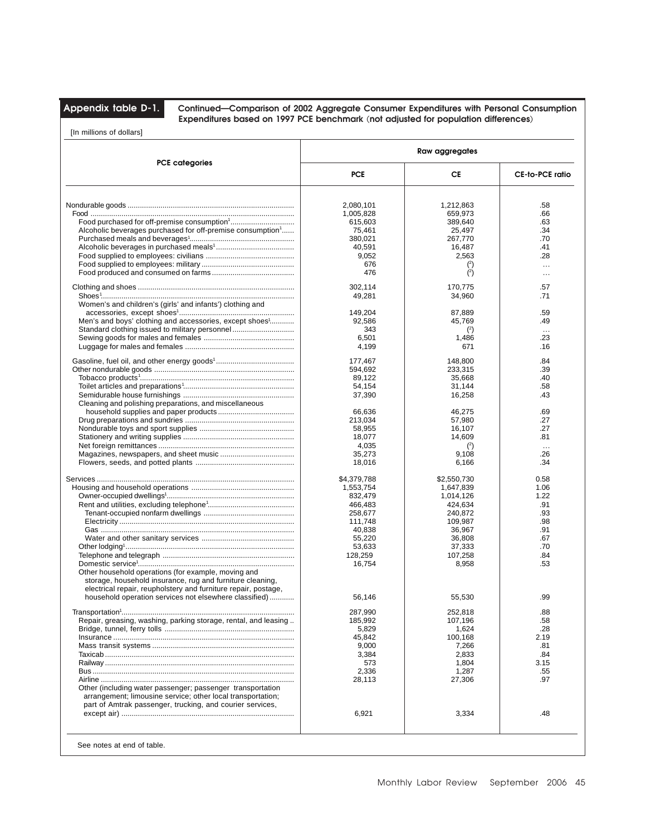**Appendix table D-1. Continued—Comparison of 2002 Aggregate Consumer Expenditures with Personal Consumption Expenditures based on 1997 PCE benchmark (not adjusted for population differences)**

[In millions of dollars]

| <b>PCE categories</b>                                                  | Raw aggregates |                |                 |
|------------------------------------------------------------------------|----------------|----------------|-----------------|
|                                                                        | <b>PCE</b>     | СE             | CE-to-PCE ratio |
|                                                                        |                |                |                 |
|                                                                        | 2.080.101      | 1,212,863      | .58             |
|                                                                        | 1,005,828      | 659,973        | .66             |
|                                                                        | 615,603        | 389,640        | .63             |
| Alcoholic beverages purchased for off-premise consumption <sup>1</sup> | 75,461         | 25,497         | .34             |
|                                                                        | 380,021        | 267,770        | .70             |
|                                                                        | 40,591         | 16,487         | .41             |
|                                                                        | 9,052          | 2,563          | .28             |
|                                                                        |                |                |                 |
|                                                                        | 676            | $\binom{2}{ }$ | $\ldots$        |
|                                                                        | 476            | $\binom{2}{ }$ | $\ddotsc$       |
|                                                                        | 302,114        | 170,775        | .57             |
|                                                                        | 49,281         | 34,960         | .71             |
| Women's and children's (girls' and infants') clothing and              |                |                |                 |
|                                                                        | 149,204        | 87,889         | .59             |
| Men's and boys' clothing and accessories, except shoes <sup>1</sup>    | 92,586         | 45,769         | .49             |
|                                                                        | 343            | $(2)$          | $\ddotsc$       |
|                                                                        | 6,501          | 1,486          | .23             |
|                                                                        |                |                |                 |
|                                                                        | 4,199          | 671            | .16             |
|                                                                        | 177,467        | 148,800        | .84             |
|                                                                        | 594,692        | 233,315        | .39             |
|                                                                        | 89,122         | 35,668         | .40             |
|                                                                        |                |                |                 |
|                                                                        | 54,154         | 31,144         | .58             |
|                                                                        | 37,390         | 16,258         | .43             |
| Cleaning and polishing preparations, and miscellaneous                 |                |                |                 |
|                                                                        | 66,636         | 46,275         | .69             |
|                                                                        | 213,034        | 57,980         | .27             |
|                                                                        | 58,955         | 16,107         | .27             |
|                                                                        | 18,077         | 14,609         | .81             |
|                                                                        | 4,035          | $\binom{2}{ }$ | $\ddotsc$       |
|                                                                        | 35,273         | 9,108          | .26             |
|                                                                        | 18,016         | 6,166          | .34             |
|                                                                        |                |                |                 |
|                                                                        | \$4,379,788    | \$2,550,730    | 0.58            |
|                                                                        | 1,553,754      | 1,647,839      | 1.06            |
|                                                                        | 832,479        | 1,014,126      | 1.22            |
|                                                                        | 466,483        | 424,634        | .91             |
|                                                                        | 258,677        | 240,872        | .93             |
|                                                                        |                |                |                 |
|                                                                        | 111,748        | 109,987        | .98             |
|                                                                        | 40,838         | 36,967         | .91             |
|                                                                        | 55,220         | 36,808         | .67             |
|                                                                        | 53,633         | 37,333         | .70             |
|                                                                        | 128,259        | 107,258        | .84             |
|                                                                        | 16,754         | 8,958          | .53             |
| Other household operations (for example, moving and                    |                |                |                 |
| storage, household insurance, rug and furniture cleaning,              |                |                |                 |
|                                                                        |                |                |                 |
| electrical repair, reupholstery and furniture repair, postage,         |                |                |                 |
| household operation services not elsewhere classified)                 | 56,146         | 55,530         | .99             |
|                                                                        | 287.990        | 252.818        | .88             |
|                                                                        |                |                |                 |
| Repair, greasing, washing, parking storage, rental, and leasing        | 185,992        | 107,196        | .58             |
|                                                                        | 5,829          | 1,624          | .28             |
|                                                                        | 45,842         | 100,168        | 2.19            |
|                                                                        | 9,000          | 7,266          | .81             |
|                                                                        | 3,384          | 2,833          | .84             |
|                                                                        | 573            | 1,804          | 3.15            |
|                                                                        | 2,336          | 1,287          | .55             |
|                                                                        | 28,113         | 27,306         | .97             |
| Other (including water passenger; passenger transportation             |                |                |                 |
|                                                                        |                |                |                 |
| arrangement; limousine service; other local transportation;            |                |                |                 |
| part of Amtrak passenger, trucking, and courier services,              |                |                |                 |
|                                                                        | 6,921          | 3,334          | .48             |
|                                                                        |                |                |                 |